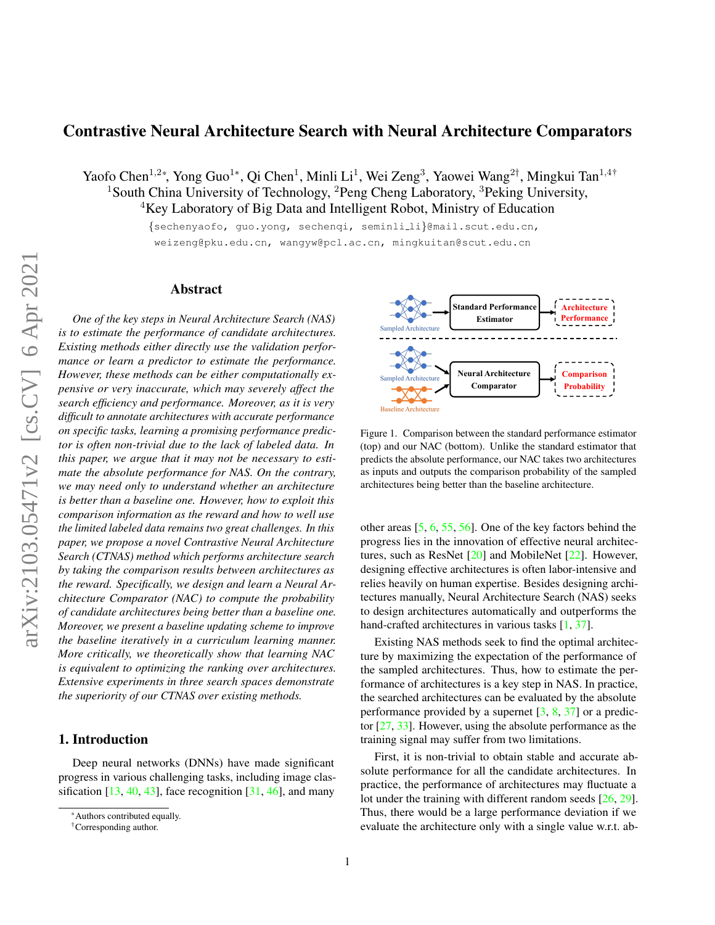# <span id="page-0-1"></span>Contrastive Neural Architecture Search with Neural Architecture Comparators

Yaofo Chen<sup>1,2∗</sup>, Yong Guo<sup>1∗</sup>, Qi Chen<sup>1</sup>, Minli Li<sup>1</sup>, Wei Zeng<sup>3</sup>, Yaowei Wang<sup>2†</sup>, Mingkui Tan<sup>1,4†</sup> <sup>1</sup> South China University of Technology, <sup>2</sup>Peng Cheng Laboratory, <sup>3</sup>Peking University, <sup>4</sup>Key Laboratory of Big Data and Intelligent Robot, Ministry of Education

{sechenyaofo, guo.yong, sechenqi, seminli li}@mail.scut.edu.cn,

weizeng@pku.edu.cn, wangyw@pcl.ac.cn, mingkuitan@scut.edu.cn

## Abstract

*One of the key steps in Neural Architecture Search (NAS) is to estimate the performance of candidate architectures. Existing methods either directly use the validation performance or learn a predictor to estimate the performance. However, these methods can be either computationally expensive or very inaccurate, which may severely affect the search efficiency and performance. Moreover, as it is very difficult to annotate architectures with accurate performance on specific tasks, learning a promising performance predictor is often non-trivial due to the lack of labeled data. In this paper, we argue that it may not be necessary to estimate the absolute performance for NAS. On the contrary, we may need only to understand whether an architecture is better than a baseline one. However, how to exploit this comparison information as the reward and how to well use the limited labeled data remains two great challenges. In this paper, we propose a novel Contrastive Neural Architecture Search (CTNAS) method which performs architecture search by taking the comparison results between architectures as the reward. Specifically, we design and learn a Neural Architecture Comparator (NAC) to compute the probability of candidate architectures being better than a baseline one. Moreover, we present a baseline updating scheme to improve the baseline iteratively in a curriculum learning manner. More critically, we theoretically show that learning NAC is equivalent to optimizing the ranking over architectures. Extensive experiments in three search spaces demonstrate the superiority of our CTNAS over existing methods.*

# 1. Introduction

Deep neural networks (DNNs) have made significant progress in various challenging tasks, including image classification  $[13, 40, 43]$  $[13, 40, 43]$  $[13, 40, 43]$  $[13, 40, 43]$  $[13, 40, 43]$ , face recognition  $[31, 46]$  $[31, 46]$  $[31, 46]$ , and many



<span id="page-0-0"></span>Figure 1. Comparison between the standard performance estimator (top) and our NAC (bottom). Unlike the standard estimator that predicts the absolute performance, our NAC takes two architectures as inputs and outputs the comparison probability of the sampled architectures being better than the baseline architecture.

other areas [\[5,](#page-8-1) [6,](#page-8-2) [55,](#page-9-4) [56\]](#page-9-5). One of the key factors behind the progress lies in the innovation of effective neural architectures, such as ResNet [\[20\]](#page-8-3) and MobileNet [\[22\]](#page-8-4). However, designing effective architectures is often labor-intensive and relies heavily on human expertise. Besides designing architectures manually, Neural Architecture Search (NAS) seeks to design architectures automatically and outperforms the hand-crafted architectures in various tasks [\[1,](#page-8-5) [37\]](#page-9-6).

Existing NAS methods seek to find the optimal architecture by maximizing the expectation of the performance of the sampled architectures. Thus, how to estimate the performance of architectures is a key step in NAS. In practice, the searched architectures can be evaluated by the absolute performance provided by a supernet [\[3,](#page-8-6) [8,](#page-8-7) [37\]](#page-9-6) or a predictor [\[27,](#page-8-8) [33\]](#page-9-7). However, using the absolute performance as the training signal may suffer from two limitations.

First, it is non-trivial to obtain stable and accurate absolute performance for all the candidate architectures. In practice, the performance of architectures may fluctuate a lot under the training with different random seeds [\[26,](#page-8-9) [29\]](#page-9-8). Thus, there would be a large performance deviation if we evaluate the architecture only with a single value w.r.t. ab-

<sup>\*</sup>Authors contributed equally.

<sup>†</sup>Corresponding author.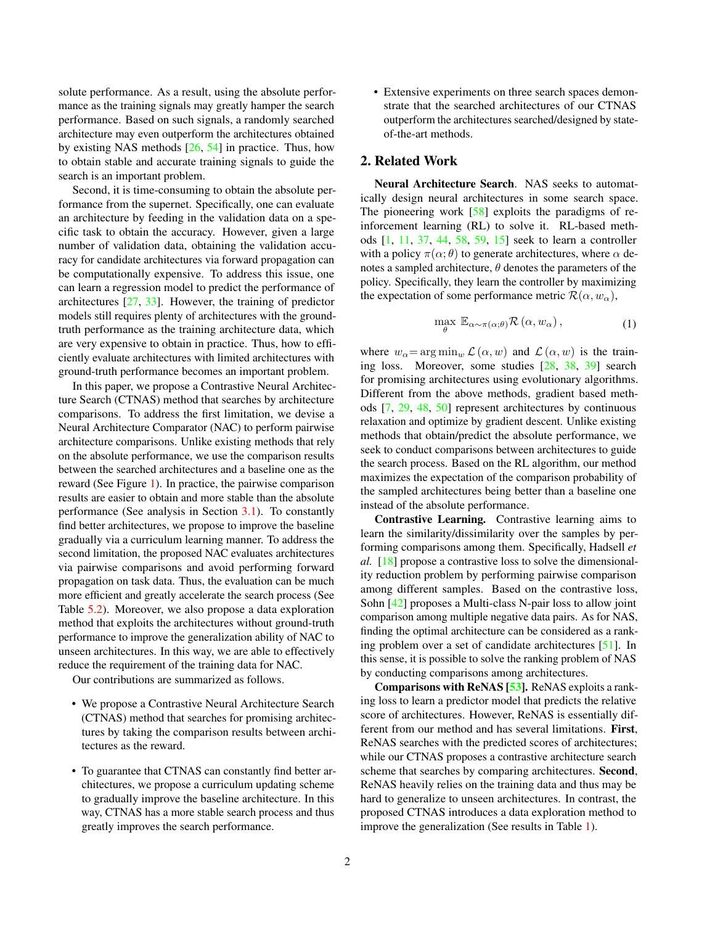<span id="page-1-0"></span>solute performance. As a result, using the absolute performance as the training signals may greatly hamper the search performance. Based on such signals, a randomly searched architecture may even outperform the architectures obtained by existing NAS methods [\[26,](#page-8-9) [54\]](#page-9-9) in practice. Thus, how to obtain stable and accurate training signals to guide the search is an important problem.

Second, it is time-consuming to obtain the absolute performance from the supernet. Specifically, one can evaluate an architecture by feeding in the validation data on a specific task to obtain the accuracy. However, given a large number of validation data, obtaining the validation accuracy for candidate architectures via forward propagation can be computationally expensive. To address this issue, one can learn a regression model to predict the performance of architectures [\[27,](#page-8-8) [33\]](#page-9-7). However, the training of predictor models still requires plenty of architectures with the groundtruth performance as the training architecture data, which are very expensive to obtain in practice. Thus, how to efficiently evaluate architectures with limited architectures with ground-truth performance becomes an important problem.

In this paper, we propose a Contrastive Neural Architecture Search (CTNAS) method that searches by architecture comparisons. To address the first limitation, we devise a Neural Architecture Comparator (NAC) to perform pairwise architecture comparisons. Unlike existing methods that rely on the absolute performance, we use the comparison results between the searched architectures and a baseline one as the reward (See Figure [1\)](#page-0-0). In practice, the pairwise comparison results are easier to obtain and more stable than the absolute performance (See analysis in Section [3.1\)](#page-2-0). To constantly find better architectures, we propose to improve the baseline gradually via a curriculum learning manner. To address the second limitation, the proposed NAC evaluates architectures via pairwise comparisons and avoid performing forward propagation on task data. Thus, the evaluation can be much more efficient and greatly accelerate the search process (See Table [5.2\)](#page-6-0). Moreover, we also propose a data exploration method that exploits the architectures without ground-truth performance to improve the generalization ability of NAC to unseen architectures. In this way, we are able to effectively reduce the requirement of the training data for NAC.

Our contributions are summarized as follows.

- We propose a Contrastive Neural Architecture Search (CTNAS) method that searches for promising architectures by taking the comparison results between architectures as the reward.
- To guarantee that CTNAS can constantly find better architectures, we propose a curriculum updating scheme to gradually improve the baseline architecture. In this way, CTNAS has a more stable search process and thus greatly improves the search performance.

• Extensive experiments on three search spaces demonstrate that the searched architectures of our CTNAS outperform the architectures searched/designed by stateof-the-art methods.

# 2. Related Work

Neural Architecture Search. NAS seeks to automatically design neural architectures in some search space. The pioneering work  $[58]$  exploits the paradigms of reinforcement learning (RL) to solve it. RL-based methods [\[1,](#page-8-5) [11,](#page-8-10) [37,](#page-9-6) [44,](#page-9-10) [58,](#page-10-0) [59,](#page-10-1) [15\]](#page-8-11) seek to learn a controller with a policy  $\pi(\alpha; \theta)$  to generate architectures, where  $\alpha$  denotes a sampled architecture,  $\theta$  denotes the parameters of the policy. Specifically, they learn the controller by maximizing the expectation of some performance metric  $\mathcal{R}(\alpha, w_{\alpha})$ ,

$$
\max_{\theta} \mathbb{E}_{\alpha \sim \pi(\alpha;\theta)} \mathcal{R}(\alpha, w_{\alpha}), \tag{1}
$$

where  $w_{\alpha} = \arg \min_{w} \mathcal{L}(\alpha, w)$  and  $\mathcal{L}(\alpha, w)$  is the training loss. Moreover, some studies [\[28,](#page-8-12) [38,](#page-9-11) [39\]](#page-9-12) search for promising architectures using evolutionary algorithms. Different from the above methods, gradient based methods [\[7,](#page-8-13) [29,](#page-9-8) [48,](#page-9-13) [50\]](#page-9-14) represent architectures by continuous relaxation and optimize by gradient descent. Unlike existing methods that obtain/predict the absolute performance, we seek to conduct comparisons between architectures to guide the search process. Based on the RL algorithm, our method maximizes the expectation of the comparison probability of the sampled architectures being better than a baseline one instead of the absolute performance.

Contrastive Learning. Contrastive learning aims to learn the similarity/dissimilarity over the samples by performing comparisons among them. Specifically, Hadsell *et al.* [\[18\]](#page-8-14) propose a contrastive loss to solve the dimensionality reduction problem by performing pairwise comparison among different samples. Based on the contrastive loss, Sohn [\[42\]](#page-9-15) proposes a Multi-class N-pair loss to allow joint comparison among multiple negative data pairs. As for NAS, finding the optimal architecture can be considered as a ranking problem over a set of candidate architectures [\[51\]](#page-9-16). In this sense, it is possible to solve the ranking problem of NAS by conducting comparisons among architectures.

Comparisons with ReNAS [\[53\]](#page-9-17). ReNAS exploits a ranking loss to learn a predictor model that predicts the relative score of architectures. However, ReNAS is essentially different from our method and has several limitations. First, ReNAS searches with the predicted scores of architectures; while our CTNAS proposes a contrastive architecture search scheme that searches by comparing architectures. Second, ReNAS heavily relies on the training data and thus may be hard to generalize to unseen architectures. In contrast, the proposed CTNAS introduces a data exploration method to improve the generalization (See results in Table [1\)](#page-5-0).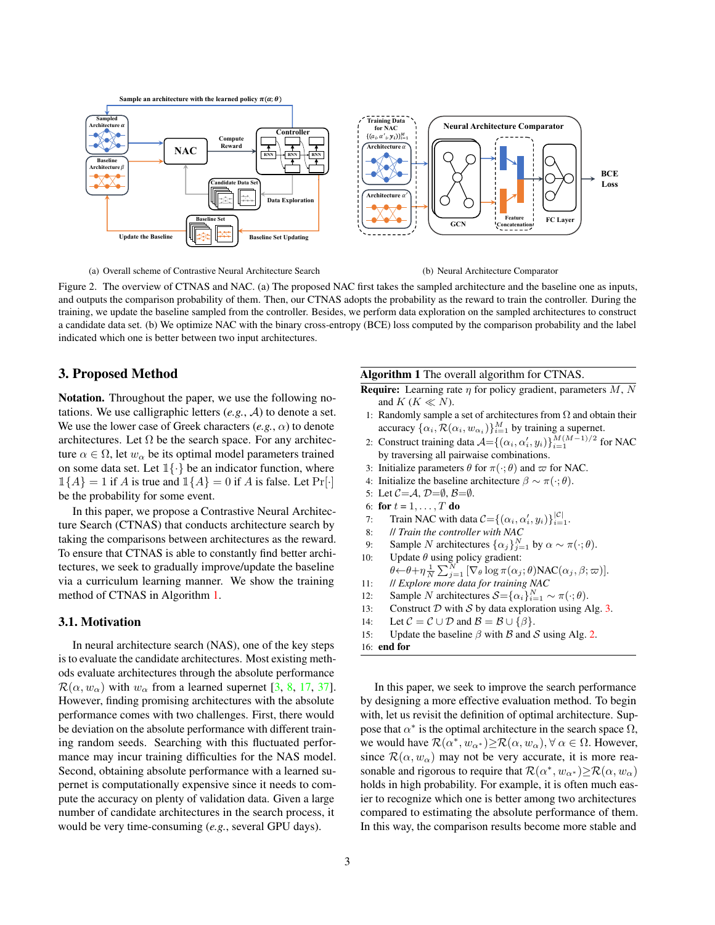<span id="page-2-3"></span>

<span id="page-2-2"></span>(a) Overall scheme of Contrastive Neural Architecture Search

(b) Neural Architecture Comparator

Figure 2. The overview of CTNAS and NAC. (a) The proposed NAC first takes the sampled architecture and the baseline one as inputs, and outputs the comparison probability of them. Then, our CTNAS adopts the probability as the reward to train the controller. During the training, we update the baseline sampled from the controller. Besides, we perform data exploration on the sampled architectures to construct a candidate data set. (b) We optimize NAC with the binary cross-entropy (BCE) loss computed by the comparison probability and the label indicated which one is better between two input architectures.

# 3. Proposed Method

Notation. Throughout the paper, we use the following notations. We use calligraphic letters (*e.g.*, A) to denote a set. We use the lower case of Greek characters  $(e, g., \alpha)$  to denote architectures. Let  $\Omega$  be the search space. For any architecture  $\alpha \in \Omega$ , let  $w_{\alpha}$  be its optimal model parameters trained on some data set. Let  $1\{\cdot\}$  be an indicator function, where  $\mathbb{1}{A} = 1$  if A is true and  $\mathbb{1}{A} = 0$  if A is false. Let Pr[ $\cdot$ ] be the probability for some event.

In this paper, we propose a Contrastive Neural Architecture Search (CTNAS) that conducts architecture search by taking the comparisons between architectures as the reward. To ensure that CTNAS is able to constantly find better architectures, we seek to gradually improve/update the baseline via a curriculum learning manner. We show the training method of CTNAS in Algorithm [1.](#page-2-1)

## <span id="page-2-0"></span>3.1. Motivation

In neural architecture search (NAS), one of the key steps is to evaluate the candidate architectures. Most existing methods evaluate architectures through the absolute performance  $\mathcal{R}(\alpha, w_{\alpha})$  with  $w_{\alpha}$  from a learned supernet [\[3,](#page-8-6) [8,](#page-8-7) [17,](#page-8-15) [37\]](#page-9-6). However, finding promising architectures with the absolute performance comes with two challenges. First, there would be deviation on the absolute performance with different training random seeds. Searching with this fluctuated performance may incur training difficulties for the NAS model. Second, obtaining absolute performance with a learned supernet is computationally expensive since it needs to compute the accuracy on plenty of validation data. Given a large number of candidate architectures in the search process, it would be very time-consuming (*e.g.*, several GPU days).

#### <span id="page-2-1"></span>Algorithm 1 The overall algorithm for CTNAS.

**Require:** Learning rate  $\eta$  for policy gradient, parameters  $M$ ,  $N$ and  $K$  ( $K \ll N$ ).

- 1: Randomly sample a set of architectures from  $\Omega$  and obtain their accuracy  $\{\alpha_i, \mathcal{R}(\alpha_i, w_{\alpha_i})\}_{i=1}^M$  by training a supernet.
- 2: Construct training data  $A = \{(\alpha_i, \alpha'_i, y_i)\}_{i=1}^{M(M-1)/2}$  for NAC by traversing all pairwaise combinations.
- 3: Initialize parameters  $\theta$  for  $\pi(\cdot; \theta)$  and  $\varpi$  for NAC.
- 4: Initialize the baseline architecture  $\beta \sim \pi(\cdot; \theta)$ .
- 5: Let  $C = A$ ,  $D = \emptyset$ ,  $B = \emptyset$ .
- 6: for  $t = 1, \ldots, T$  do
- 7: Train NAC with data  $C = \{(\alpha_i, \alpha'_i, y_i)\}_{i=1}^{|C|}$ .
- 8: // *Train the controller with NAC*
- 9: Sample N architectures  $\{\alpha_j\}_{j=1}^N$  by  $\alpha \sim \pi(\cdot; \theta)$ .
- 10: Update  $\theta$  using policy gradient:  $\theta \leftarrow \theta + \eta \frac{1}{N} \sum_{j=1}^{N} [\nabla_{\theta} \log \pi(\alpha_j; \theta) \text{NAC}(\alpha_j, \beta; \varpi)].$
- 11: // *Explore more data for training NAC*
- 12: Sample N architectures  $S = {\alpha_i}_{i=1}^N \sim \pi(\cdot; \theta)$ .
- 13: Construct  $D$  with  $S$  by data exploration using Alg. [3.](#page-4-0)
- 14: Let  $C = C \cup D$  and  $B = B \cup \{\beta\}.$
- 15: Update the baseline  $\beta$  with  $\beta$  and  $\beta$  using Alg. [2.](#page-3-0)
- 16: end for

In this paper, we seek to improve the search performance by designing a more effective evaluation method. To begin with, let us revisit the definition of optimal architecture. Suppose that  $\alpha^*$  is the optimal architecture in the search space  $\Omega$ , we would have  $\mathcal{R}(\alpha^*, w_{\alpha^*}) \geq \mathcal{R}(\alpha, w_{\alpha}), \forall \alpha \in \Omega$ . However, since  $\mathcal{R}(\alpha, w_{\alpha})$  may not be very accurate, it is more reasonable and rigorous to require that  $\mathcal{R}(\alpha^*, w_{\alpha^*}) \ge \mathcal{R}(\alpha, w_{\alpha})$ holds in high probability. For example, it is often much easier to recognize which one is better among two architectures compared to estimating the absolute performance of them. In this way, the comparison results become more stable and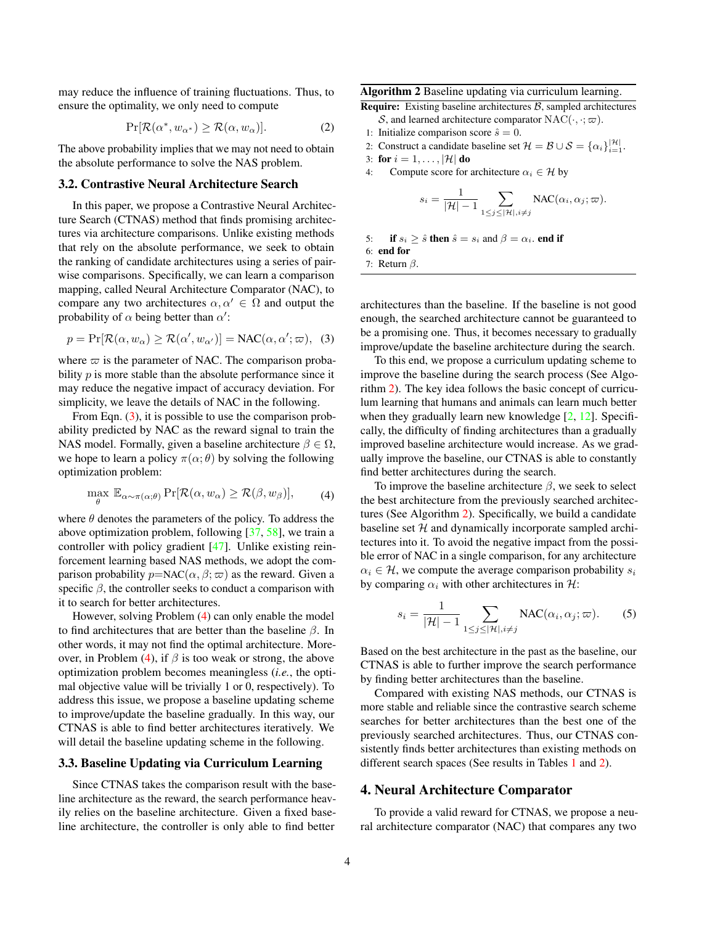<span id="page-3-3"></span>may reduce the influence of training fluctuations. Thus, to ensure the optimality, we only need to compute

$$
\Pr[\mathcal{R}(\alpha^*, w_{\alpha^*}) \ge \mathcal{R}(\alpha, w_{\alpha})]. \tag{2}
$$

The above probability implies that we may not need to obtain the absolute performance to solve the NAS problem.

#### 3.2. Contrastive Neural Architecture Search

In this paper, we propose a Contrastive Neural Architecture Search (CTNAS) method that finds promising architectures via architecture comparisons. Unlike existing methods that rely on the absolute performance, we seek to obtain the ranking of candidate architectures using a series of pairwise comparisons. Specifically, we can learn a comparison mapping, called Neural Architecture Comparator (NAC), to compare any two architectures  $\alpha, \alpha' \in \Omega$  and output the probability of  $\alpha$  being better than  $\alpha'$ :

<span id="page-3-1"></span>
$$
p = \Pr[\mathcal{R}(\alpha, w_{\alpha}) \ge \mathcal{R}(\alpha', w_{\alpha'})] = \text{NAC}(\alpha, \alpha'; \varpi), \tag{3}
$$

where  $\varpi$  is the parameter of NAC. The comparison probability *p* is more stable than the absolute performance since it may reduce the negative impact of accuracy deviation. For simplicity, we leave the details of NAC in the following.

From Eqn. [\(3\)](#page-3-1), it is possible to use the comparison probability predicted by NAC as the reward signal to train the NAS model. Formally, given a baseline architecture  $\beta \in \Omega$ , we hope to learn a policy  $\pi(\alpha; \theta)$  by solving the following optimization problem:

<span id="page-3-2"></span>
$$
\max_{\theta} \mathbb{E}_{\alpha \sim \pi(\alpha;\theta)} \Pr[\mathcal{R}(\alpha, w_{\alpha}) \ge \mathcal{R}(\beta, w_{\beta})], \qquad (4)
$$

where  $\theta$  denotes the parameters of the policy. To address the above optimization problem, following [\[37,](#page-9-6) [58\]](#page-10-0), we train a controller with policy gradient [\[47\]](#page-9-18). Unlike existing reinforcement learning based NAS methods, we adopt the comparison probability  $p= NAC(\alpha, \beta; \varpi)$  as the reward. Given a specific  $\beta$ , the controller seeks to conduct a comparison with it to search for better architectures.

However, solving Problem [\(4\)](#page-3-2) can only enable the model to find architectures that are better than the baseline  $\beta$ . In other words, it may not find the optimal architecture. More-over, in Problem [\(4\)](#page-3-2), if  $\beta$  is too weak or strong, the above optimization problem becomes meaningless (*i.e.*, the optimal objective value will be trivially 1 or 0, respectively). To address this issue, we propose a baseline updating scheme to improve/update the baseline gradually. In this way, our CTNAS is able to find better architectures iteratively. We will detail the baseline updating scheme in the following.

#### 3.3. Baseline Updating via Curriculum Learning

Since CTNAS takes the comparison result with the baseline architecture as the reward, the search performance heavily relies on the baseline architecture. Given a fixed baseline architecture, the controller is only able to find better

## <span id="page-3-0"></span>Algorithm 2 Baseline updating via curriculum learning.

**Require:** Existing baseline architectures  $\beta$ , sampled architectures S, and learned architecture comparator  $NAC(\cdot, \cdot; \varpi)$ .

- 1: Initialize comparison score  $\hat{s} = 0$ .
- 2: Construct a candidate baseline set  $\mathcal{H} = \mathcal{B} \cup \mathcal{S} = {\alpha_i}_{i=1}^{|\mathcal{H}|}$ .
- 3: for  $i = 1, \ldots, |\mathcal{H}|$  do
- 4: Compute score for architecture  $\alpha_i \in \mathcal{H}$  by

$$
s_i = \frac{1}{|\mathcal{H}| - 1} \sum_{1 \leq j \leq |\mathcal{H}|, i \neq j} \text{NAC}(\alpha_i, \alpha_j; \varpi).
$$

5: if 
$$
s_i \geq \hat{s}
$$
 then  $\hat{s} = s_i$  and  $\beta = \alpha_i$ , end if  
6: end for

7: Return  $\beta$ .

architectures than the baseline. If the baseline is not good enough, the searched architecture cannot be guaranteed to be a promising one. Thus, it becomes necessary to gradually improve/update the baseline architecture during the search.

To this end, we propose a curriculum updating scheme to improve the baseline during the search process (See Algorithm [2\)](#page-3-0). The key idea follows the basic concept of curriculum learning that humans and animals can learn much better when they gradually learn new knowledge  $[2, 12]$  $[2, 12]$  $[2, 12]$ . Specifically, the difficulty of finding architectures than a gradually improved baseline architecture would increase. As we gradually improve the baseline, our CTNAS is able to constantly find better architectures during the search.

To improve the baseline architecture  $\beta$ , we seek to select the best architecture from the previously searched architectures (See Algorithm [2\)](#page-3-0). Specifically, we build a candidate baseline set  $H$  and dynamically incorporate sampled architectures into it. To avoid the negative impact from the possible error of NAC in a single comparison, for any architecture  $\alpha_i \in \mathcal{H}$ , we compute the average comparison probability  $s_i$ by comparing  $\alpha_i$  with other architectures in H:

$$
s_i = \frac{1}{|\mathcal{H}| - 1} \sum_{1 \le j \le |\mathcal{H}|, i \ne j} \text{NAC}(\alpha_i, \alpha_j; \varpi). \tag{5}
$$

Based on the best architecture in the past as the baseline, our CTNAS is able to further improve the search performance by finding better architectures than the baseline.

Compared with existing NAS methods, our CTNAS is more stable and reliable since the contrastive search scheme searches for better architectures than the best one of the previously searched architectures. Thus, our CTNAS consistently finds better architectures than existing methods on different search spaces (See results in Tables [1](#page-5-0) and [2\)](#page-6-1).

## 4. Neural Architecture Comparator

To provide a valid reward for CTNAS, we propose a neural architecture comparator (NAC) that compares any two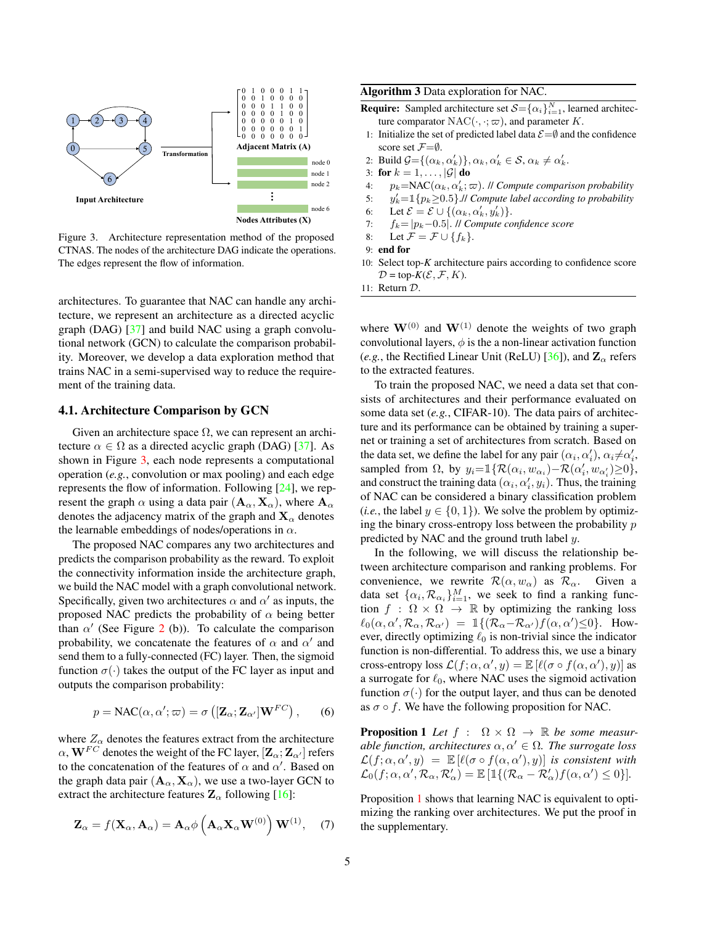<span id="page-4-3"></span>

<span id="page-4-1"></span>Figure 3. Architecture representation method of the proposed CTNAS. The nodes of the architecture DAG indicate the operations. The edges represent the flow of information.

architectures. To guarantee that NAC can handle any architecture, we represent an architecture as a directed acyclic graph (DAG) [\[37\]](#page-9-6) and build NAC using a graph convolutional network (GCN) to calculate the comparison probability. Moreover, we develop a data exploration method that trains NAC in a semi-supervised way to reduce the requirement of the training data.

# 4.1. Architecture Comparison by GCN

Given an architecture space  $\Omega$ , we can represent an architecture  $\alpha \in \Omega$  as a directed acyclic graph (DAG) [\[37\]](#page-9-6). As shown in Figure [3,](#page-4-1) each node represents a computational operation (*e.g.*, convolution or max pooling) and each edge represents the flow of information. Following [\[24\]](#page-8-18), we represent the graph  $\alpha$  using a data pair  $(\mathbf{A}_{\alpha}, \mathbf{X}_{\alpha})$ , where  $\mathbf{A}_{\alpha}$ denotes the adjacency matrix of the graph and  $X_\alpha$  denotes the learnable embeddings of nodes/operations in  $\alpha$ .

The proposed NAC compares any two architectures and predicts the comparison probability as the reward. To exploit the connectivity information inside the architecture graph, we build the NAC model with a graph convolutional network. Specifically, given two architectures  $\alpha$  and  $\alpha'$  as inputs, the proposed NAC predicts the probability of  $\alpha$  being better than  $\alpha'$  (See Figure [2](#page-2-2) (b)). To calculate the comparison probability, we concatenate the features of  $\alpha$  and  $\alpha'$  and send them to a fully-connected (FC) layer. Then, the sigmoid function  $\sigma(\cdot)$  takes the output of the FC layer as input and outputs the comparison probability:

$$
p = \text{NAC}(\alpha, \alpha'; \varpi) = \sigma\left( [\mathbf{Z}_{\alpha}; \mathbf{Z}_{\alpha'}] \mathbf{W}^{FC} \right), \qquad (6)
$$

where  $Z_{\alpha}$  denotes the features extract from the architecture  $\alpha$ ,  ${\bf W}^{FC}$  denotes the weight of the FC layer,  $[{\bf Z}_\alpha;{\bf Z}_{\alpha'}]$  refers to the concatenation of the features of  $\alpha$  and  $\alpha'$ . Based on the graph data pair  $(A_{\alpha}, X_{\alpha})$ , we use a two-layer GCN to extract the architecture features  $\mathbf{Z}_{\alpha}$  following [\[16\]](#page-8-19):

$$
\mathbf{Z}_{\alpha} = f(\mathbf{X}_{\alpha}, \mathbf{A}_{\alpha}) = \mathbf{A}_{\alpha} \phi\left(\mathbf{A}_{\alpha} \mathbf{X}_{\alpha} \mathbf{W}^{(0)}\right) \mathbf{W}^{(1)}, \quad (7)
$$

<span id="page-4-0"></span>Algorithm 3 Data exploration for NAC.

**Require:** Sampled architecture set  $S = {\alpha_i}_{i=1}^N$ , learned architecture comparator  $NAC(\cdot, \cdot; \varpi)$ , and parameter K.

- 1: Initialize the set of predicted label data  $\mathcal{E} = \emptyset$  and the confidence score set  $\mathcal{F}=\emptyset$ .
- 2: Build  $\mathcal{G} = \{(\alpha_k, \alpha'_k)\}, \alpha_k, \alpha'_k \in \mathcal{S}, \alpha_k \neq \alpha'_k.$
- 3: for  $k = 1, \ldots, |\mathcal{G}|$  do
- 4:  $p_k = \text{NAC}(\alpha_k, \alpha'_k; \varpi)$ . // *Compute comparison probability*
- $5:$  $\mathcal{C}_k = \mathbb{1}{p_k \geq 0.5}$ .// *Compute label according to probability*
- 6: Let  $\mathcal{E} = \mathcal{E} \cup \{(\alpha_k, \alpha'_k, y'_k)\}.$
- 7: fk= |pk−0.5|. // *Compute confidence score*
- 8: Let  $\mathcal{F} = \mathcal{F} \cup \{f_k\}.$

```
9: end for
```
- 10: Select top-*K* architecture pairs according to confidence score  $\mathcal{D} = \text{top-}K(\mathcal{E}, \mathcal{F}, K).$
- 11: Return D.

where  $W^{(0)}$  and  $W^{(1)}$  denote the weights of two graph convolutional layers,  $\phi$  is the a non-linear activation function (*e.g.*, the Rectified Linear Unit (ReLU) [\[36\]](#page-9-19)), and  $\mathbb{Z}_{\alpha}$  refers to the extracted features.

To train the proposed NAC, we need a data set that consists of architectures and their performance evaluated on some data set (*e.g.*, CIFAR-10). The data pairs of architecture and its performance can be obtained by training a supernet or training a set of architectures from scratch. Based on the data set, we define the label for any pair  $(\alpha_i, \alpha'_i)$ ,  $\alpha_i \neq \alpha'_i$ , sampled from  $\Omega$ , by  $y_i = \mathbb{I}\{\mathcal{R}(\alpha_i, w_{\alpha_i}) - \mathcal{R}(\alpha'_i, w_{\alpha'_i}) \geq 0\},\$ and construct the training data  $(\alpha_i, \alpha'_i, y_i)$ . Thus, the training of NAC can be considered a binary classification problem (*i.e.*, the label  $y \in \{0, 1\}$ ). We solve the problem by optimizing the binary cross-entropy loss between the probability  $p$ predicted by NAC and the ground truth label y.

In the following, we will discuss the relationship between architecture comparison and ranking problems. For convenience, we rewrite  $\mathcal{R}(\alpha, w_{\alpha})$  as  $\mathcal{R}_{\alpha}$ . Given a data set  $\{\alpha_i, \mathcal{R}_{\alpha_i}\}_{i=1}^M$ , we seek to find a ranking function  $f : \Omega \times \Omega \to \mathbb{R}$  by optimizing the ranking loss  $\ell_0(\alpha,\alpha', \mathcal{R}_\alpha, \mathcal{R}_{\alpha'}) = \mathbbm{1}\{(\mathcal{R}_\alpha - \mathcal{R}_{\alpha'}) f(\alpha,\alpha'){\leq}0\}.$  However, directly optimizing  $\ell_0$  is non-trivial since the indicator function is non-differential. To address this, we use a binary cross-entropy loss  $\mathcal{L}(f; \alpha, \alpha', y) = \mathbb{E} [\ell(\sigma \circ f(\alpha, \alpha'), y)]$  as a surrogate for  $\ell_0$ , where NAC uses the sigmoid activation function  $\sigma(\cdot)$  for the output layer, and thus can be denoted as  $\sigma \circ f$ . We have the following proposition for NAC.

<span id="page-4-2"></span>**Proposition 1** Let  $f : \Omega \times \Omega \rightarrow \mathbb{R}$  be some measur*able function, architectures*  $\alpha, \alpha' \in \Omega$ *. The surrogate loss*  $\mathcal{L}(f; \alpha, \alpha', y) = \mathbb{E} [\ell(\sigma \circ f(\alpha, \alpha'), y)]$  *is consistent with*  $\mathcal{L}_0(f; \alpha, \alpha', \mathcal{R}_\alpha, \mathcal{R}_\alpha') = \mathbb{E} [\mathbb{1}\{(\mathcal{R}_\alpha - \mathcal{R}_\alpha')f(\alpha, \alpha') \leq 0\}].$ 

Proposition [1](#page-4-2) shows that learning NAC is equivalent to optimizing the ranking over architectures. We put the proof in the supplementary.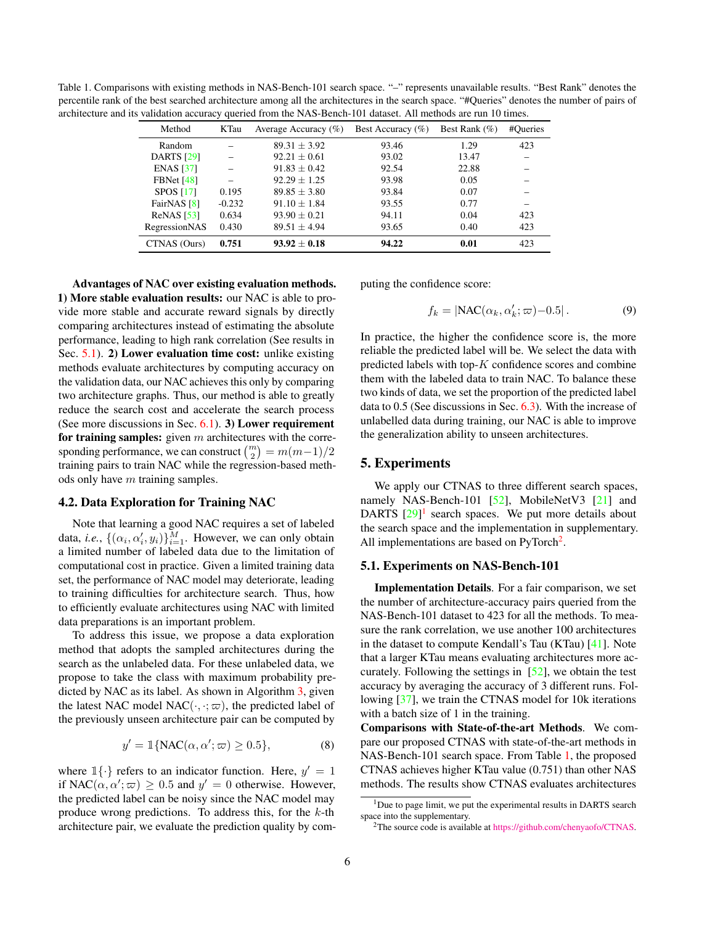<span id="page-5-4"></span><span id="page-5-0"></span>Table 1. Comparisons with existing methods in NAS-Bench-101 search space. "–" represents unavailable results. "Best Rank" denotes the percentile rank of the best searched architecture among all the architectures in the search space. "#Queries" denotes the number of pairs of architecture and its validation accuracy queried from the NAS-Bench-101 dataset. All methods are run 10 times.

| Method                 | KTau     | Average Accuracy $(\%)$ | Best Accuracy $(\%)$ | Best Rank $(\%)$ | #Oueries |
|------------------------|----------|-------------------------|----------------------|------------------|----------|
| Random                 |          | $89.31 \pm 3.92$        | 93.46                | 1.29             | 423      |
| <b>DARTS</b> [29]      |          | $92.21 \pm 0.61$        | 93.02                | 13.47            |          |
| <b>ENAS</b> [37]       |          | $91.83 + 0.42$          | 92.54                | 22.88            |          |
| FBNet $[48]$           |          | $92.29 \pm 1.25$        | 93.98                | 0.05             |          |
| <b>SPOS</b> [17]       | 0.195    | $89.85 \pm 3.80$        | 93.84                | 0.07             |          |
| FairNAS <sup>[8]</sup> | $-0.232$ | $91.10 \pm 1.84$        | 93.55                | 0.77             | -        |
| ReNAS [53]             | 0.634    | $93.90 + 0.21$          | 94.11                | 0.04             | 423      |
| RegressionNAS          | 0.430    | $89.51 \pm 4.94$        | 93.65                | 0.40             | 423      |
| CTNAS (Ours)           | 0.751    | $93.92 + 0.18$          | 94.22                | 0.01             | 423      |

Advantages of NAC over existing evaluation methods. 1) More stable evaluation results: our NAC is able to provide more stable and accurate reward signals by directly comparing architectures instead of estimating the absolute performance, leading to high rank correlation (See results in Sec. [5.1\)](#page-5-1). 2) Lower evaluation time cost: unlike existing methods evaluate architectures by computing accuracy on the validation data, our NAC achieves this only by comparing two architecture graphs. Thus, our method is able to greatly reduce the search cost and accelerate the search process (See more discussions in Sec.  $6.1$ ). 3) Lower requirement for training samples: given  $m$  architectures with the corresponding performance, we can construct  $\binom{m}{2} = m(m-1)/2$ training pairs to train NAC while the regression-based methods only have  $m$  training samples.

## 4.2. Data Exploration for Training NAC

Note that learning a good NAC requires a set of labeled data, *i.e.*,  $\{(\alpha_i, \alpha'_i, y_i)\}_{i=1}^M$ . However, we can only obtain a limited number of labeled data due to the limitation of computational cost in practice. Given a limited training data set, the performance of NAC model may deteriorate, leading to training difficulties for architecture search. Thus, how to efficiently evaluate architectures using NAC with limited data preparations is an important problem.

To address this issue, we propose a data exploration method that adopts the sampled architectures during the search as the unlabeled data. For these unlabeled data, we propose to take the class with maximum probability predicted by NAC as its label. As shown in Algorithm [3,](#page-4-0) given the latest NAC model NAC( $\cdot, \cdot; \varpi$ ), the predicted label of the previously unseen architecture pair can be computed by

$$
y' = \mathbb{1}\{\text{NAC}(\alpha, \alpha'; \varpi) \ge 0.5\},\tag{8}
$$

where  $\mathbb{1}\{\cdot\}$  refers to an indicator function. Here,  $y' = 1$ if NAC( $\alpha, \alpha'; \varpi$ )  $\geq 0.5$  and  $y' = 0$  otherwise. However, the predicted label can be noisy since the NAC model may produce wrong predictions. To address this, for the  $k$ -th architecture pair, we evaluate the prediction quality by computing the confidence score:

$$
f_k = |\text{NAC}(\alpha_k, \alpha'_k; \varpi) - 0.5|.
$$
 (9)

In practice, the higher the confidence score is, the more reliable the predicted label will be. We select the data with predicted labels with top- $K$  confidence scores and combine them with the labeled data to train NAC. To balance these two kinds of data, we set the proportion of the predicted label data to 0.5 (See discussions in Sec. [6.3\)](#page-7-0). With the increase of unlabelled data during training, our NAC is able to improve the generalization ability to unseen architectures.

# 5. Experiments

We apply our CTNAS to three different search spaces, namely NAS-Bench-101 [\[52\]](#page-9-20), MobileNetV3 [\[21\]](#page-8-20) and DARTS  $[29]$ <sup>[1](#page-5-2)</sup> search spaces. We put more details about the search space and the implementation in supplementary. All implementations are based on PyTorch<sup>[2](#page-5-3)</sup>.

#### <span id="page-5-1"></span>5.1. Experiments on NAS-Bench-101

Implementation Details. For a fair comparison, we set the number of architecture-accuracy pairs queried from the NAS-Bench-101 dataset to 423 for all the methods. To measure the rank correlation, we use another 100 architectures in the dataset to compute Kendall's Tau (KTau) [\[41\]](#page-9-21). Note that a larger KTau means evaluating architectures more accurately. Following the settings in [\[52\]](#page-9-20), we obtain the test accuracy by averaging the accuracy of 3 different runs. Following [\[37\]](#page-9-6), we train the CTNAS model for 10k iterations with a batch size of 1 in the training.

Comparisons with State-of-the-art Methods. We compare our proposed CTNAS with state-of-the-art methods in NAS-Bench-101 search space. From Table [1,](#page-5-0) the proposed CTNAS achieves higher KTau value (0.751) than other NAS methods. The results show CTNAS evaluates architectures

<span id="page-5-2"></span><sup>&</sup>lt;sup>1</sup>Due to page limit, we put the experimental results in DARTS search space into the supplementary.

<span id="page-5-3"></span><sup>&</sup>lt;sup>2</sup>The source code is available at [https://github.com/chenyaofo/CTNAS.](https://github.com/chenyaofo/CTNAS)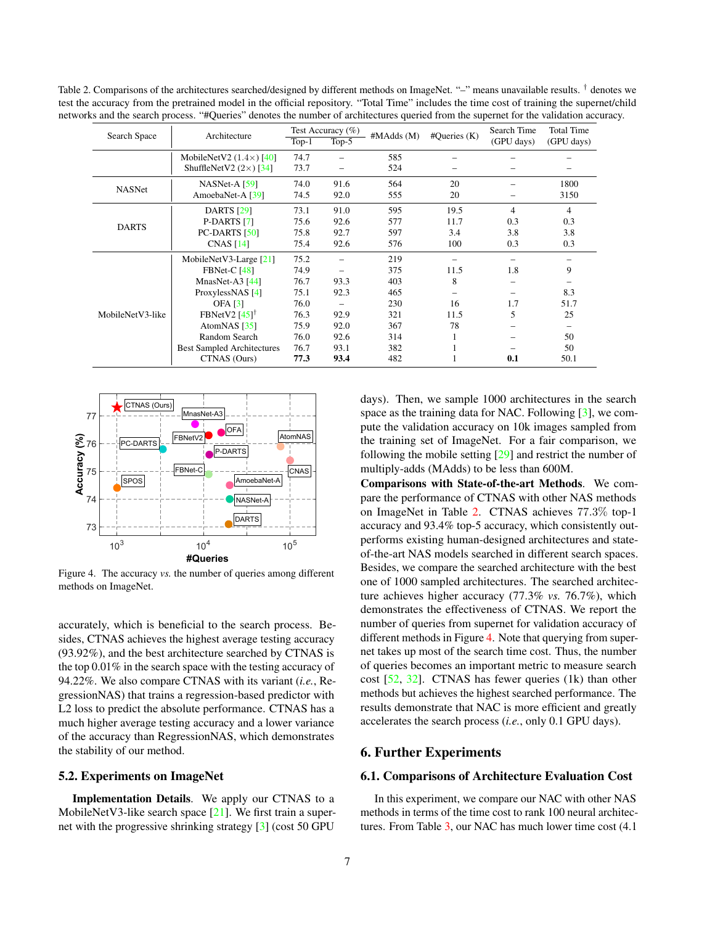| Search Space     | Architecture                      | Test Accuracy $(\%)$ |         | #MAdds(M) | #Queries (K) | Search Time | <b>Total Time</b> |
|------------------|-----------------------------------|----------------------|---------|-----------|--------------|-------------|-------------------|
|                  |                                   | $Top-1$              | $Top-5$ |           |              | (GPU days)  | (GPU days)        |
|                  | MobileNetV2 $(1.4\times)$ [40]    | 74.7                 |         | 585       |              |             |                   |
|                  | ShuffleNetV2 $(2\times)$ [34]     | 73.7                 |         | 524       |              |             |                   |
|                  | $NASNet-A$ [59]                   | 74.0                 | 91.6    | 564       | 20           |             | 1800              |
| NASNet           | AmoebaNet-A [39]                  | 74.5                 | 92.0    | 555       | 20           |             | 3150              |
|                  | <b>DARTS</b> [29]                 | 73.1                 | 91.0    | 595       | 19.5         | 4           | 4                 |
| <b>DARTS</b>     | P-DARTS [7]                       | 75.6                 | 92.6    | 577       | 11.7         | 0.3         | 0.3               |
|                  | $PC$ -DARTS $[50]$                | 75.8                 | 92.7    | 597       | 3.4          | 3.8         | 3.8               |
|                  | CNAS $[14]$                       | 75.4                 | 92.6    | 576       | 100          | 0.3         | 0.3               |
|                  | MobileNetV3-Large $[21]$          | 75.2                 |         | 219       |              |             |                   |
|                  | $FBNet-C [48]$                    | 74.9                 |         | 375       | 11.5         | 1.8         | 9                 |
|                  | MnasNet-A3 $[44]$                 | 76.7                 | 93.3    | 403       | 8            |             |                   |
|                  | ProxylessNAS [4]                  | 75.1                 | 92.3    | 465       |              |             | 8.3               |
|                  | OFA $[3]$                         | 76.0                 |         | 230       | 16           | 1.7         | 51.7              |
| MobileNetV3-like | FBNetV2 $[45]$ <sup>†</sup>       | 76.3                 | 92.9    | 321       | 11.5         | 5           | 25                |
|                  | AtomNAS $[35]$                    | 75.9                 | 92.0    | 367       | 78           |             |                   |
|                  | Random Search                     | 76.0                 | 92.6    | 314       |              |             | 50                |
|                  | <b>Best Sampled Architectures</b> | 76.7                 | 93.1    | 382       |              |             | 50                |
|                  | CTNAS (Ours)                      | 77.3                 | 93.4    | 482       |              | 0.1         | 50.1              |

<span id="page-6-4"></span><span id="page-6-1"></span>Table 2. Comparisons of the architectures searched/designed by different methods on ImageNet. "-" means unavailable results. <sup>†</sup> denotes we test the accuracy from the pretrained model in the official repository. "Total Time" includes the time cost of training the supernet/child networks and the search process. "#Queries" denotes the number of architectures queried from the supernet for the validation accuracy.



<span id="page-6-3"></span>Figure 4. The accuracy *vs.* the number of queries among different methods on ImageNet.

accurately, which is beneficial to the search process. Besides, CTNAS achieves the highest average testing accuracy (93.92%), and the best architecture searched by CTNAS is the top 0.01% in the search space with the testing accuracy of 94.22%. We also compare CTNAS with its variant (*i.e.*, RegressionNAS) that trains a regression-based predictor with L2 loss to predict the absolute performance. CTNAS has a much higher average testing accuracy and a lower variance of the accuracy than RegressionNAS, which demonstrates the stability of our method.

#### <span id="page-6-0"></span>5.2. Experiments on ImageNet

Implementation Details. We apply our CTNAS to a MobileNetV3-like search space [\[21\]](#page-8-20). We first train a supernet with the progressive shrinking strategy [\[3\]](#page-8-6) (cost 50 GPU

days). Then, we sample 1000 architectures in the search space as the training data for NAC. Following [\[3\]](#page-8-6), we compute the validation accuracy on 10k images sampled from the training set of ImageNet. For a fair comparison, we following the mobile setting [\[29\]](#page-9-8) and restrict the number of multiply-adds (MAdds) to be less than 600M.

Comparisons with State-of-the-art Methods. We compare the performance of CTNAS with other NAS methods on ImageNet in Table [2.](#page-6-1) CTNAS achieves 77.3% top-1 accuracy and 93.4% top-5 accuracy, which consistently outperforms existing human-designed architectures and stateof-the-art NAS models searched in different search spaces. Besides, we compare the searched architecture with the best one of 1000 sampled architectures. The searched architecture achieves higher accuracy (77.3% *vs.* 76.7%), which demonstrates the effectiveness of CTNAS. We report the number of queries from supernet for validation accuracy of different methods in Figure [4.](#page-6-3) Note that querying from supernet takes up most of the search time cost. Thus, the number of queries becomes an important metric to measure search cost [\[52,](#page-9-20) [32\]](#page-9-25). CTNAS has fewer queries (1k) than other methods but achieves the highest searched performance. The results demonstrate that NAC is more efficient and greatly accelerates the search process (*i.e.*, only 0.1 GPU days).

## 6. Further Experiments

## <span id="page-6-2"></span>6.1. Comparisons of Architecture Evaluation Cost

In this experiment, we compare our NAC with other NAS methods in terms of the time cost to rank 100 neural architectures. From Table [3,](#page-7-1) our NAC has much lower time cost (4.1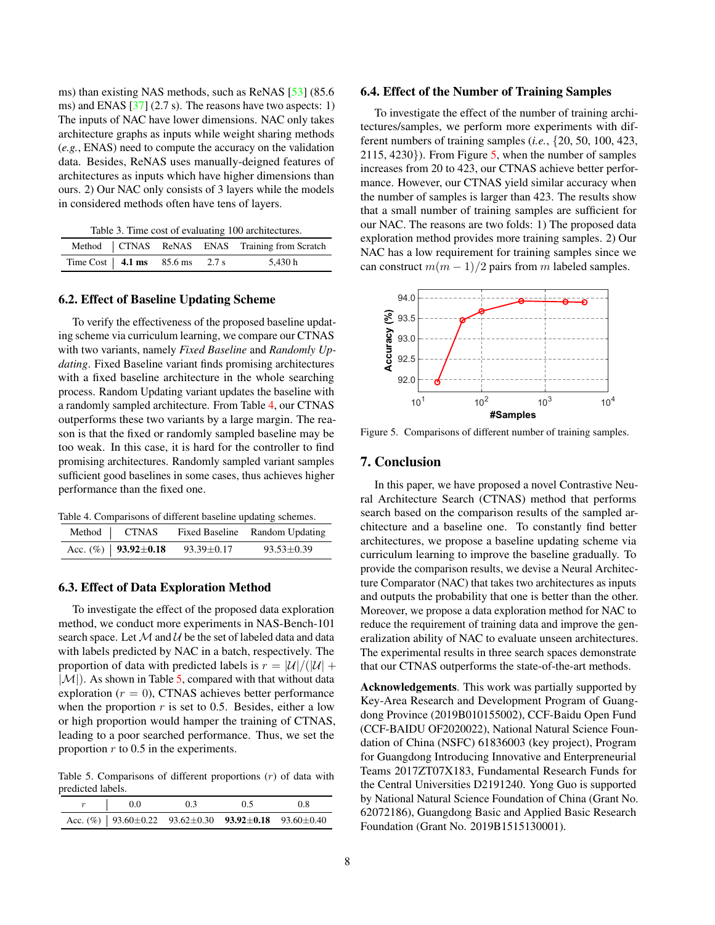<span id="page-7-5"></span>ms) than existing NAS methods, such as ReNAS [\[53\]](#page-9-17) (85.6 ms) and ENAS [\[37\]](#page-9-6) (2.7 s). The reasons have two aspects: 1) The inputs of NAC have lower dimensions. NAC only takes architecture graphs as inputs while weight sharing methods (*e.g.*, ENAS) need to compute the accuracy on the validation data. Besides, ReNAS uses manually-deigned features of architectures as inputs which have higher dimensions than ours. 2) Our NAC only consists of 3 layers while the models in considered methods often have tens of layers.

<span id="page-7-1"></span>

|  |  |  |  |  |  | Table 3. Time cost of evaluating 100 architectures. |
|--|--|--|--|--|--|-----------------------------------------------------|
|--|--|--|--|--|--|-----------------------------------------------------|

|                                  |  | Method   CTNAS ReNAS ENAS Training from Scratch |
|----------------------------------|--|-------------------------------------------------|
| Time Cost   4.1 ms 85.6 ms 2.7 s |  | 5,430 h                                         |

#### 6.2. Effect of Baseline Updating Scheme

To verify the effectiveness of the proposed baseline updating scheme via curriculum learning, we compare our CTNAS with two variants, namely *Fixed Baseline* and *Randomly Updating*. Fixed Baseline variant finds promising architectures with a fixed baseline architecture in the whole searching process. Random Updating variant updates the baseline with a randomly sampled architecture. From Table [4,](#page-7-2) our CTNAS outperforms these two variants by a large margin. The reason is that the fixed or randomly sampled baseline may be too weak. In this case, it is hard for the controller to find promising architectures. Randomly sampled variant samples sufficient good baselines in some cases, thus achieves higher performance than the fixed one.

<span id="page-7-2"></span>Table 4. Comparisons of different baseline updating schemes.

| Method   CTNAS                 |                  | Fixed Baseline Random Updating |
|--------------------------------|------------------|--------------------------------|
| Acc. $(\%)$   93.92 $\pm$ 0.18 | $93.39 \pm 0.17$ | $93.53 \pm 0.39$               |

## <span id="page-7-0"></span>6.3. Effect of Data Exploration Method

To investigate the effect of the proposed data exploration method, we conduct more experiments in NAS-Bench-101 search space. Let  $\mathcal M$  and  $\mathcal U$  be the set of labeled data and data with labels predicted by NAC in a batch, respectively. The proportion of data with predicted labels is  $r = |\mathcal{U}|/(|\mathcal{U}| +$  $|\mathcal{M}|$ ). As shown in Table [5,](#page-7-3) compared with that without data exploration ( $r = 0$ ), CTNAS achieves better performance when the proportion  $r$  is set to 0.5. Besides, either a low or high proportion would hamper the training of CTNAS, leading to a poor searched performance. Thus, we set the proportion  $r$  to 0.5 in the experiments.

<span id="page-7-3"></span>Table 5. Comparisons of different proportions  $(r)$  of data with predicted labels.

| $r \qquad   \qquad 0.0$                                                        | 0.3 | 0.5 | 0.8 |
|--------------------------------------------------------------------------------|-----|-----|-----|
| Acc. (%)   $93.60 \pm 0.22$ $93.62 \pm 0.30$ $93.92 \pm 0.18$ $93.60 \pm 0.40$ |     |     |     |

#### 6.4. Effect of the Number of Training Samples

To investigate the effect of the number of training architectures/samples, we perform more experiments with different numbers of training samples (*i.e.*, {20, 50, 100, 423,  $2115, 4230$  $2115, 4230$  $2115, 4230$ . From Figure 5, when the number of samples increases from 20 to 423, our CTNAS achieve better performance. However, our CTNAS yield similar accuracy when the number of samples is larger than 423. The results show that a small number of training samples are sufficient for our NAC. The reasons are two folds: 1) The proposed data exploration method provides more training samples. 2) Our NAC has a low requirement for training samples since we can construct  $m(m-1)/2$  pairs from m labeled samples.



<span id="page-7-4"></span>Figure 5. Comparisons of different number of training samples.

## 7. Conclusion

In this paper, we have proposed a novel Contrastive Neural Architecture Search (CTNAS) method that performs search based on the comparison results of the sampled architecture and a baseline one. To constantly find better architectures, we propose a baseline updating scheme via curriculum learning to improve the baseline gradually. To provide the comparison results, we devise a Neural Architecture Comparator (NAC) that takes two architectures as inputs and outputs the probability that one is better than the other. Moreover, we propose a data exploration method for NAC to reduce the requirement of training data and improve the generalization ability of NAC to evaluate unseen architectures. The experimental results in three search spaces demonstrate that our CTNAS outperforms the state-of-the-art methods.

Acknowledgements. This work was partially supported by Key-Area Research and Development Program of Guangdong Province (2019B010155002), CCF-Baidu Open Fund (CCF-BAIDU OF2020022), National Natural Science Foundation of China (NSFC) 61836003 (key project), Program for Guangdong Introducing Innovative and Enterpreneurial Teams 2017ZT07X183, Fundamental Research Funds for the Central Universities D2191240. Yong Guo is supported by National Natural Science Foundation of China (Grant No. 62072186), Guangdong Basic and Applied Basic Research Foundation (Grant No. 2019B1515130001).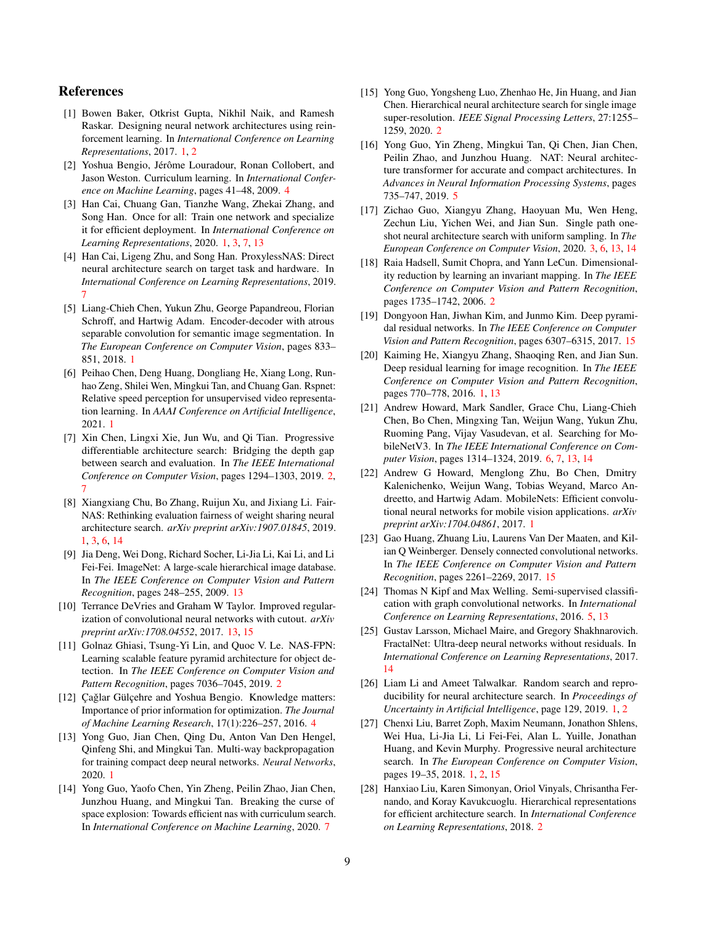# References

- <span id="page-8-5"></span>[1] Bowen Baker, Otkrist Gupta, Nikhil Naik, and Ramesh Raskar. Designing neural network architectures using reinforcement learning. In *International Conference on Learning Representations*, 2017. [1,](#page-0-1) [2](#page-1-0)
- <span id="page-8-16"></span>[2] Yoshua Bengio, Jérôme Louradour, Ronan Collobert, and Jason Weston. Curriculum learning. In *International Conference on Machine Learning*, pages 41–48, 2009. [4](#page-3-3)
- <span id="page-8-6"></span>[3] Han Cai, Chuang Gan, Tianzhe Wang, Zhekai Zhang, and Song Han. Once for all: Train one network and specialize it for efficient deployment. In *International Conference on Learning Representations*, 2020. [1,](#page-0-1) [3,](#page-2-3) [7,](#page-6-4) [13](#page-12-0)
- <span id="page-8-22"></span>[4] Han Cai, Ligeng Zhu, and Song Han. ProxylessNAS: Direct neural architecture search on target task and hardware. In *International Conference on Learning Representations*, 2019. [7](#page-6-4)
- <span id="page-8-1"></span>[5] Liang-Chieh Chen, Yukun Zhu, George Papandreou, Florian Schroff, and Hartwig Adam. Encoder-decoder with atrous separable convolution for semantic image segmentation. In *The European Conference on Computer Vision*, pages 833– 851, 2018. [1](#page-0-1)
- <span id="page-8-2"></span>[6] Peihao Chen, Deng Huang, Dongliang He, Xiang Long, Runhao Zeng, Shilei Wen, Mingkui Tan, and Chuang Gan. Rspnet: Relative speed perception for unsupervised video representation learning. In *AAAI Conference on Artificial Intelligence*, 2021. [1](#page-0-1)
- <span id="page-8-13"></span>[7] Xin Chen, Lingxi Xie, Jun Wu, and Qi Tian. Progressive differentiable architecture search: Bridging the depth gap between search and evaluation. In *The IEEE International Conference on Computer Vision*, pages 1294–1303, 2019. [2,](#page-1-0) [7](#page-6-4)
- <span id="page-8-7"></span>[8] Xiangxiang Chu, Bo Zhang, Ruijun Xu, and Jixiang Li. Fair-NAS: Rethinking evaluation fairness of weight sharing neural architecture search. *arXiv preprint arXiv:1907.01845*, 2019. [1,](#page-0-1) [3,](#page-2-3) [6,](#page-5-4) [14](#page-13-0)
- <span id="page-8-23"></span>[9] Jia Deng, Wei Dong, Richard Socher, Li-Jia Li, Kai Li, and Li Fei-Fei. ImageNet: A large-scale hierarchical image database. In *The IEEE Conference on Computer Vision and Pattern Recognition*, pages 248–255, 2009. [13](#page-12-0)
- <span id="page-8-24"></span>[10] Terrance DeVries and Graham W Taylor. Improved regularization of convolutional neural networks with cutout. *arXiv preprint arXiv:1708.04552*, 2017. [13,](#page-12-0) [15](#page-14-0)
- <span id="page-8-10"></span>[11] Golnaz Ghiasi, Tsung-Yi Lin, and Quoc V. Le. NAS-FPN: Learning scalable feature pyramid architecture for object detection. In *The IEEE Conference on Computer Vision and Pattern Recognition*, pages 7036–7045, 2019. [2](#page-1-0)
- <span id="page-8-17"></span>[12] Çağlar Gülçehre and Yoshua Bengio. Knowledge matters: Importance of prior information for optimization. *The Journal of Machine Learning Research*, 17(1):226–257, 2016. [4](#page-3-3)
- <span id="page-8-0"></span>[13] Yong Guo, Jian Chen, Qing Du, Anton Van Den Hengel, Qinfeng Shi, and Mingkui Tan. Multi-way backpropagation for training compact deep neural networks. *Neural Networks*, 2020. [1](#page-0-1)
- <span id="page-8-21"></span>[14] Yong Guo, Yaofo Chen, Yin Zheng, Peilin Zhao, Jian Chen, Junzhou Huang, and Mingkui Tan. Breaking the curse of space explosion: Towards efficient nas with curriculum search. In *International Conference on Machine Learning*, 2020. [7](#page-6-4)
- <span id="page-8-11"></span>[15] Yong Guo, Yongsheng Luo, Zhenhao He, Jin Huang, and Jian Chen. Hierarchical neural architecture search for single image super-resolution. *IEEE Signal Processing Letters*, 27:1255– 1259, 2020. [2](#page-1-0)
- <span id="page-8-19"></span>[16] Yong Guo, Yin Zheng, Mingkui Tan, Qi Chen, Jian Chen, Peilin Zhao, and Junzhou Huang. NAT: Neural architecture transformer for accurate and compact architectures. In *Advances in Neural Information Processing Systems*, pages 735–747, 2019. [5](#page-4-3)
- <span id="page-8-15"></span>[17] Zichao Guo, Xiangyu Zhang, Haoyuan Mu, Wen Heng, Zechun Liu, Yichen Wei, and Jian Sun. Single path oneshot neural architecture search with uniform sampling. In *The European Conference on Computer Vision*, 2020. [3,](#page-2-3) [6,](#page-5-4) [13,](#page-12-0) [14](#page-13-0)
- <span id="page-8-14"></span>[18] Raia Hadsell, Sumit Chopra, and Yann LeCun. Dimensionality reduction by learning an invariant mapping. In *The IEEE Conference on Computer Vision and Pattern Recognition*, pages 1735–1742, 2006. [2](#page-1-0)
- <span id="page-8-27"></span>[19] Dongyoon Han, Jiwhan Kim, and Junmo Kim. Deep pyramidal residual networks. In *The IEEE Conference on Computer Vision and Pattern Recognition*, pages 6307–6315, 2017. [15](#page-14-0)
- <span id="page-8-3"></span>[20] Kaiming He, Xiangyu Zhang, Shaoqing Ren, and Jian Sun. Deep residual learning for image recognition. In *The IEEE Conference on Computer Vision and Pattern Recognition*, pages 770–778, 2016. [1,](#page-0-1) [13](#page-12-0)
- <span id="page-8-20"></span>[21] Andrew Howard, Mark Sandler, Grace Chu, Liang-Chieh Chen, Bo Chen, Mingxing Tan, Weijun Wang, Yukun Zhu, Ruoming Pang, Vijay Vasudevan, et al. Searching for MobileNetV3. In *The IEEE International Conference on Computer Vision*, pages 1314–1324, 2019. [6,](#page-5-4) [7,](#page-6-4) [13,](#page-12-0) [14](#page-13-0)
- <span id="page-8-4"></span>[22] Andrew G Howard, Menglong Zhu, Bo Chen, Dmitry Kalenichenko, Weijun Wang, Tobias Weyand, Marco Andreetto, and Hartwig Adam. MobileNets: Efficient convolutional neural networks for mobile vision applications. *arXiv preprint arXiv:1704.04861*, 2017. [1](#page-0-1)
- <span id="page-8-26"></span>[23] Gao Huang, Zhuang Liu, Laurens Van Der Maaten, and Kilian Q Weinberger. Densely connected convolutional networks. In *The IEEE Conference on Computer Vision and Pattern Recognition*, pages 2261–2269, 2017. [15](#page-14-0)
- <span id="page-8-18"></span>[24] Thomas N Kipf and Max Welling. Semi-supervised classification with graph convolutional networks. In *International Conference on Learning Representations*, 2016. [5,](#page-4-3) [13](#page-12-0)
- <span id="page-8-25"></span>[25] Gustav Larsson, Michael Maire, and Gregory Shakhnarovich. FractalNet: Ultra-deep neural networks without residuals. In *International Conference on Learning Representations*, 2017. [14](#page-13-0)
- <span id="page-8-9"></span>[26] Liam Li and Ameet Talwalkar. Random search and reproducibility for neural architecture search. In *Proceedings of Uncertainty in Artificial Intelligence*, page 129, 2019. [1,](#page-0-1) [2](#page-1-0)
- <span id="page-8-8"></span>[27] Chenxi Liu, Barret Zoph, Maxim Neumann, Jonathon Shlens, Wei Hua, Li-Jia Li, Li Fei-Fei, Alan L. Yuille, Jonathan Huang, and Kevin Murphy. Progressive neural architecture search. In *The European Conference on Computer Vision*, pages 19–35, 2018. [1,](#page-0-1) [2,](#page-1-0) [15](#page-14-0)
- <span id="page-8-12"></span>[28] Hanxiao Liu, Karen Simonyan, Oriol Vinyals, Chrisantha Fernando, and Koray Kavukcuoglu. Hierarchical representations for efficient architecture search. In *International Conference on Learning Representations*, 2018. [2](#page-1-0)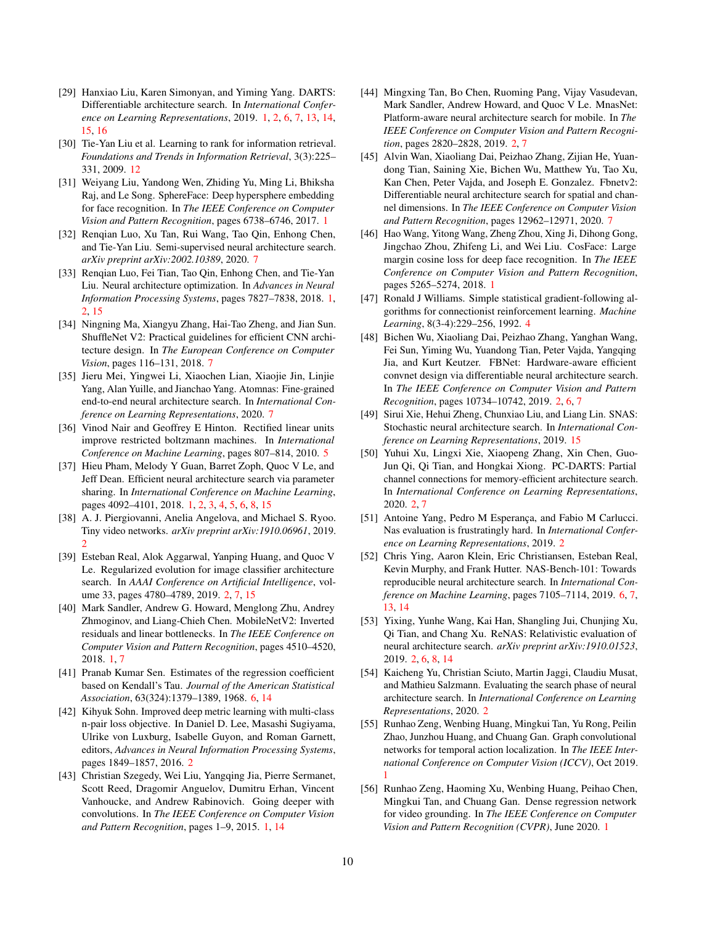- <span id="page-9-8"></span>[29] Hanxiao Liu, Karen Simonyan, and Yiming Yang. DARTS: Differentiable architecture search. In *International Conference on Learning Representations*, 2019. [1,](#page-0-1) [2,](#page-1-0) [6,](#page-5-4) [7,](#page-6-4) [13,](#page-12-0) [14,](#page-13-0) [15,](#page-14-0) [16](#page-15-0)
- <span id="page-9-26"></span>[30] Tie-Yan Liu et al. Learning to rank for information retrieval. *Foundations and Trends in Information Retrieval*, 3(3):225– 331, 2009. [12](#page-11-0)
- <span id="page-9-2"></span>[31] Weiyang Liu, Yandong Wen, Zhiding Yu, Ming Li, Bhiksha Raj, and Le Song. SphereFace: Deep hypersphere embedding for face recognition. In *The IEEE Conference on Computer Vision and Pattern Recognition*, pages 6738–6746, 2017. [1](#page-0-1)
- <span id="page-9-25"></span>[32] Renqian Luo, Xu Tan, Rui Wang, Tao Qin, Enhong Chen, and Tie-Yan Liu. Semi-supervised neural architecture search. *arXiv preprint arXiv:2002.10389*, 2020. [7](#page-6-4)
- <span id="page-9-7"></span>[33] Renqian Luo, Fei Tian, Tao Qin, Enhong Chen, and Tie-Yan Liu. Neural architecture optimization. In *Advances in Neural Information Processing Systems*, pages 7827–7838, 2018. [1,](#page-0-1) [2,](#page-1-0) [15](#page-14-0)
- <span id="page-9-22"></span>[34] Ningning Ma, Xiangyu Zhang, Hai-Tao Zheng, and Jian Sun. ShuffleNet V2: Practical guidelines for efficient CNN architecture design. In *The European Conference on Computer Vision*, pages 116–131, 2018. [7](#page-6-4)
- <span id="page-9-24"></span>[35] Jieru Mei, Yingwei Li, Xiaochen Lian, Xiaojie Jin, Linjie Yang, Alan Yuille, and Jianchao Yang. Atomnas: Fine-grained end-to-end neural architecture search. In *International Conference on Learning Representations*, 2020. [7](#page-6-4)
- <span id="page-9-19"></span>[36] Vinod Nair and Geoffrey E Hinton. Rectified linear units improve restricted boltzmann machines. In *International Conference on Machine Learning*, pages 807–814, 2010. [5](#page-4-3)
- <span id="page-9-6"></span>[37] Hieu Pham, Melody Y Guan, Barret Zoph, Quoc V Le, and Jeff Dean. Efficient neural architecture search via parameter sharing. In *International Conference on Machine Learning*, pages 4092–4101, 2018. [1,](#page-0-1) [2,](#page-1-0) [3,](#page-2-3) [4,](#page-3-3) [5,](#page-4-3) [6,](#page-5-4) [8,](#page-7-5) [15](#page-14-0)
- <span id="page-9-11"></span>[38] A. J. Piergiovanni, Anelia Angelova, and Michael S. Ryoo. Tiny video networks. *arXiv preprint arXiv:1910.06961*, 2019. [2](#page-1-0)
- <span id="page-9-12"></span>[39] Esteban Real, Alok Aggarwal, Yanping Huang, and Quoc V Le. Regularized evolution for image classifier architecture search. In *AAAI Conference on Artificial Intelligence*, volume 33, pages 4780–4789, 2019. [2,](#page-1-0) [7,](#page-6-4) [15](#page-14-0)
- <span id="page-9-0"></span>[40] Mark Sandler, Andrew G. Howard, Menglong Zhu, Andrey Zhmoginov, and Liang-Chieh Chen. MobileNetV2: Inverted residuals and linear bottlenecks. In *The IEEE Conference on Computer Vision and Pattern Recognition*, pages 4510–4520, 2018. [1,](#page-0-1) [7](#page-6-4)
- <span id="page-9-21"></span>[41] Pranab Kumar Sen. Estimates of the regression coefficient based on Kendall's Tau. *Journal of the American Statistical Association*, 63(324):1379–1389, 1968. [6,](#page-5-4) [14](#page-13-0)
- <span id="page-9-15"></span>[42] Kihyuk Sohn. Improved deep metric learning with multi-class n-pair loss objective. In Daniel D. Lee, Masashi Sugiyama, Ulrike von Luxburg, Isabelle Guyon, and Roman Garnett, editors, *Advances in Neural Information Processing Systems*, pages 1849–1857, 2016. [2](#page-1-0)
- <span id="page-9-1"></span>[43] Christian Szegedy, Wei Liu, Yangqing Jia, Pierre Sermanet, Scott Reed, Dragomir Anguelov, Dumitru Erhan, Vincent Vanhoucke, and Andrew Rabinovich. Going deeper with convolutions. In *The IEEE Conference on Computer Vision and Pattern Recognition*, pages 1–9, 2015. [1,](#page-0-1) [14](#page-13-0)
- <span id="page-9-10"></span>[44] Mingxing Tan, Bo Chen, Ruoming Pang, Vijay Vasudevan, Mark Sandler, Andrew Howard, and Quoc V Le. MnasNet: Platform-aware neural architecture search for mobile. In *The IEEE Conference on Computer Vision and Pattern Recognition*, pages 2820–2828, 2019. [2,](#page-1-0) [7](#page-6-4)
- <span id="page-9-23"></span>[45] Alvin Wan, Xiaoliang Dai, Peizhao Zhang, Zijian He, Yuandong Tian, Saining Xie, Bichen Wu, Matthew Yu, Tao Xu, Kan Chen, Peter Vajda, and Joseph E. Gonzalez. Fbnetv2: Differentiable neural architecture search for spatial and channel dimensions. In *The IEEE Conference on Computer Vision and Pattern Recognition*, pages 12962–12971, 2020. [7](#page-6-4)
- <span id="page-9-3"></span>[46] Hao Wang, Yitong Wang, Zheng Zhou, Xing Ji, Dihong Gong, Jingchao Zhou, Zhifeng Li, and Wei Liu. CosFace: Large margin cosine loss for deep face recognition. In *The IEEE Conference on Computer Vision and Pattern Recognition*, pages 5265–5274, 2018. [1](#page-0-1)
- <span id="page-9-18"></span>[47] Ronald J Williams. Simple statistical gradient-following algorithms for connectionist reinforcement learning. *Machine Learning*, 8(3-4):229–256, 1992. [4](#page-3-3)
- <span id="page-9-13"></span>[48] Bichen Wu, Xiaoliang Dai, Peizhao Zhang, Yanghan Wang, Fei Sun, Yiming Wu, Yuandong Tian, Peter Vajda, Yangqing Jia, and Kurt Keutzer. FBNet: Hardware-aware efficient convnet design via differentiable neural architecture search. In *The IEEE Conference on Computer Vision and Pattern Recognition*, pages 10734–10742, 2019. [2,](#page-1-0) [6,](#page-5-4) [7](#page-6-4)
- <span id="page-9-27"></span>[49] Sirui Xie, Hehui Zheng, Chunxiao Liu, and Liang Lin. SNAS: Stochastic neural architecture search. In *International Conference on Learning Representations*, 2019. [15](#page-14-0)
- <span id="page-9-14"></span>[50] Yuhui Xu, Lingxi Xie, Xiaopeng Zhang, Xin Chen, Guo-Jun Qi, Qi Tian, and Hongkai Xiong. PC-DARTS: Partial channel connections for memory-efficient architecture search. In *International Conference on Learning Representations*, 2020. [2,](#page-1-0) [7](#page-6-4)
- <span id="page-9-16"></span>[51] Antoine Yang, Pedro M Esperança, and Fabio M Carlucci. Nas evaluation is frustratingly hard. In *International Conference on Learning Representations*, 2019. [2](#page-1-0)
- <span id="page-9-20"></span>[52] Chris Ying, Aaron Klein, Eric Christiansen, Esteban Real, Kevin Murphy, and Frank Hutter. NAS-Bench-101: Towards reproducible neural architecture search. In *International Conference on Machine Learning*, pages 7105–7114, 2019. [6,](#page-5-4) [7,](#page-6-4) [13,](#page-12-0) [14](#page-13-0)
- <span id="page-9-17"></span>[53] Yixing, Yunhe Wang, Kai Han, Shangling Jui, Chunjing Xu, Qi Tian, and Chang Xu. ReNAS: Relativistic evaluation of neural architecture search. *arXiv preprint arXiv:1910.01523*, 2019. [2,](#page-1-0) [6,](#page-5-4) [8,](#page-7-5) [14](#page-13-0)
- <span id="page-9-9"></span>[54] Kaicheng Yu, Christian Sciuto, Martin Jaggi, Claudiu Musat, and Mathieu Salzmann. Evaluating the search phase of neural architecture search. In *International Conference on Learning Representations*, 2020. [2](#page-1-0)
- <span id="page-9-4"></span>[55] Runhao Zeng, Wenbing Huang, Mingkui Tan, Yu Rong, Peilin Zhao, Junzhou Huang, and Chuang Gan. Graph convolutional networks for temporal action localization. In *The IEEE International Conference on Computer Vision (ICCV)*, Oct 2019. [1](#page-0-1)
- <span id="page-9-5"></span>[56] Runhao Zeng, Haoming Xu, Wenbing Huang, Peihao Chen, Mingkui Tan, and Chuang Gan. Dense regression network for video grounding. In *The IEEE Conference on Computer Vision and Pattern Recognition (CVPR)*, June 2020. [1](#page-0-1)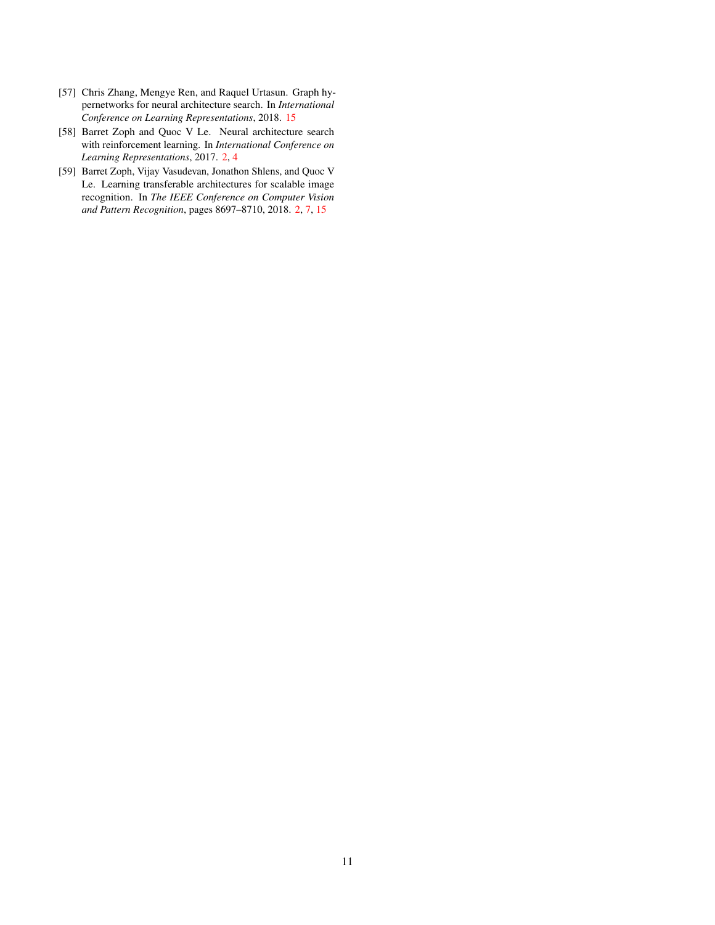- <span id="page-10-2"></span>[57] Chris Zhang, Mengye Ren, and Raquel Urtasun. Graph hypernetworks for neural architecture search. In *International Conference on Learning Representations*, 2018. [15](#page-14-0)
- <span id="page-10-0"></span>[58] Barret Zoph and Quoc V Le. Neural architecture search with reinforcement learning. In *International Conference on Learning Representations*, 2017. [2,](#page-1-0) [4](#page-3-3)
- <span id="page-10-1"></span>[59] Barret Zoph, Vijay Vasudevan, Jonathon Shlens, and Quoc V Le. Learning transferable architectures for scalable image recognition. In *The IEEE Conference on Computer Vision and Pattern Recognition*, pages 8697–8710, 2018. [2,](#page-1-0) [7,](#page-6-4) [15](#page-14-0)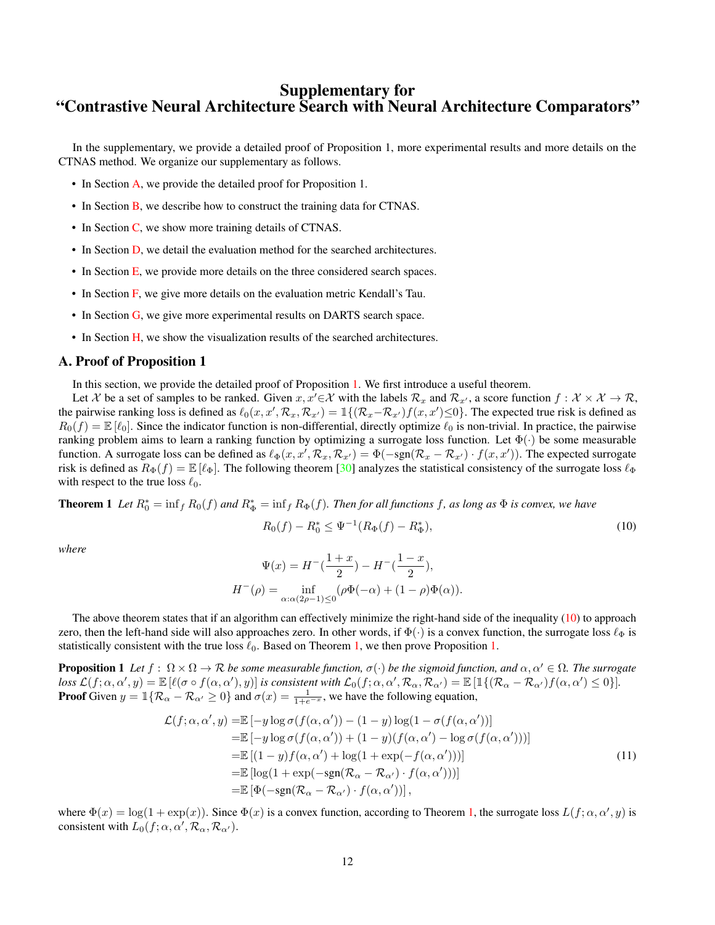# <span id="page-11-0"></span>Supplementary for "Contrastive Neural Architecture Search with Neural Architecture Comparators"

In the supplementary, we provide a detailed proof of Proposition 1, more experimental results and more details on the CTNAS method. We organize our supplementary as follows.

- In Section [A,](#page-11-1) we provide the detailed proof for Proposition 1.
- In Section [B,](#page-12-1) we describe how to construct the training data for CTNAS.
- In Section [C,](#page-12-2) we show more training details of CTNAS.
- In Section [D,](#page-12-3) we detail the evaluation method for the searched architectures.
- In Section [E,](#page-13-1) we provide more details on the three considered search spaces.
- In Section [F,](#page-13-2) we give more details on the evaluation metric Kendall's Tau.
- In Section [G,](#page-13-3) we give more experimental results on DARTS search space.
- In Section [H,](#page-14-1) we show the visualization results of the searched architectures.

# <span id="page-11-1"></span>A. Proof of Proposition 1

In this section, we provide the detailed proof of Proposition [1.](#page-4-2) We first introduce a useful theorem.

Let X be a set of samples to be ranked. Given  $x, x' \in \mathcal{X}$  with the labels  $\mathcal{R}_x$  and  $\mathcal{R}_{x'}$ , a score function  $f : \mathcal{X} \times \mathcal{X} \to \mathcal{R}$ , the pairwise ranking loss is defined as  $\ell_0(x, x', \mathcal{R}_x, \mathcal{R}_{x'}) = \mathbb{1}\{(\mathcal{R}_x - \mathcal{R}_{x'})f(x, x') \leq 0\}$ . The expected true risk is defined as  $R_0(f) = \mathbb{E}[\ell_0]$ . Since the indicator function is non-differential, directly optimize  $\ell_0$  is non-trivial. In practice, the pairwise ranking problem aims to learn a ranking function by optimizing a surrogate loss function. Let  $\Phi(\cdot)$  be some measurable function. A surrogate loss can be defined as  $\ell_{\Phi}(x, x', \mathcal{R}_x, \mathcal{R}_{x'}) = \Phi(-\text{sgn}(\mathcal{R}_x - \mathcal{R}_{x'}) \cdot f(x, x'))$ . The expected surrogate risk is defined as  $R_{\Phi}(f) = \mathbb{E}[\ell_{\Phi}]$ . The following theorem [\[30\]](#page-9-26) analyzes the statistical consistency of the surrogate loss  $\ell_{\Phi}$ with respect to the true loss  $\ell_0$ .

<span id="page-11-3"></span>**Theorem 1** Let  $R_0^* = \inf_f R_0(f)$  and  $R_{\Phi}^* = \inf_f R_{\Phi}(f)$ . Then for all functions f, as long as  $\Phi$  is convex, we have

<span id="page-11-2"></span>
$$
R_0(f) - R_0^* \le \Psi^{-1}(R_{\Phi}(f) - R_{\Phi}^*),\tag{10}
$$

*where*

$$
\Psi(x) = H^{-}\left(\frac{1+x}{2}\right) - H^{-}\left(\frac{1-x}{2}\right),
$$
  

$$
H^{-}(\rho) = \inf_{\alpha:\alpha(2\rho - 1) \le 0} (\rho \Phi(-\alpha) + (1 - \rho) \Phi(\alpha)).
$$

The above theorem states that if an algorithm can effectively minimize the right-hand side of the inequality  $(10)$  to approach zero, then the left-hand side will also approaches zero. In other words, if  $\Phi(\cdot)$  is a convex function, the surrogate loss  $\ell_{\Phi}$  is statistically consistent with the true loss  $\ell_0$ . Based on Theorem [1,](#page-11-3) we then prove Proposition [1.](#page-4-2)

**Proposition 1** Let  $f : \Omega \times \Omega \to \mathcal{R}$  be some measurable function,  $\sigma(\cdot)$  be the sigmoid function, and  $\alpha, \alpha' \in \Omega$ . The surrogate  $\textit{loss } \mathcal{L}(f; \alpha, \alpha', y) = \mathbb{E}\left[\ell(\sigma \circ f(\alpha, \alpha'), y)\right]$  is consistent with  $\mathcal{L}_0(f; \alpha, \alpha', \mathcal{R}_\alpha, \mathcal{R}_{\alpha'}) = \mathbb{E}\left[\mathbb{1}\{(\mathcal{R}_\alpha - \mathcal{R}_{\alpha'})f(\alpha, \alpha') \leq 0\}\right].$ **Proof** Given  $y = \mathbb{1}\{\mathcal{R}_{\alpha} - \mathcal{R}_{\alpha'} \ge 0\}$  and  $\sigma(x) = \frac{1}{1 + e^{-x}}$ , we have the following equation,

$$
\mathcal{L}(f; \alpha, \alpha', y) = \mathbb{E} \left[ -y \log \sigma(f(\alpha, \alpha')) - (1 - y) \log(1 - \sigma(f(\alpha, \alpha'))) \right]
$$
  
\n
$$
= \mathbb{E} \left[ -y \log \sigma(f(\alpha, \alpha')) + (1 - y)(f(\alpha, \alpha') - \log \sigma(f(\alpha, \alpha'))) \right]
$$
  
\n
$$
= \mathbb{E} \left[ (1 - y)f(\alpha, \alpha') + \log(1 + \exp(-f(\alpha, \alpha'))) \right]
$$
  
\n
$$
= \mathbb{E} \left[ \log(1 + \exp(-\text{sgn}(\mathcal{R}_{\alpha} - \mathcal{R}_{\alpha'}) \cdot f(\alpha, \alpha'))) \right]
$$
  
\n
$$
= \mathbb{E} \left[ \Phi(-\text{sgn}(\mathcal{R}_{\alpha} - \mathcal{R}_{\alpha'}) \cdot f(\alpha, \alpha')) \right],
$$
\n(11)

where  $\Phi(x) = \log(1 + \exp(x))$ . Since  $\Phi(x)$  is a convex function, according to Theorem [1,](#page-11-3) the surrogate loss  $L(f; \alpha, \alpha', y)$  is consistent with  $L_0(f; \alpha, \alpha', \mathcal{R}_\alpha, \mathcal{R}_{\alpha'})$ .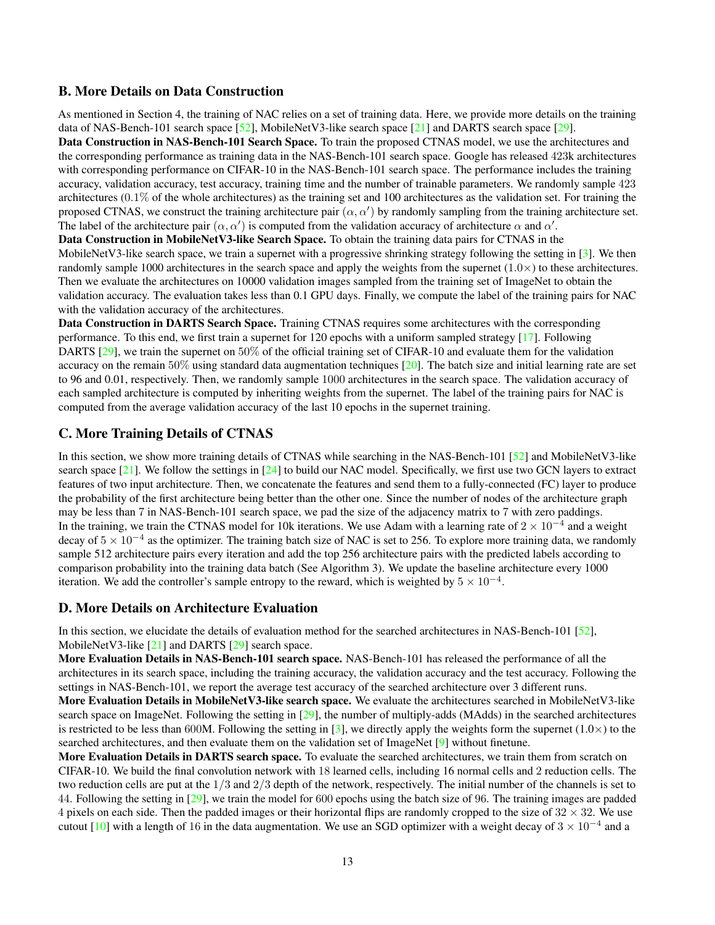# <span id="page-12-1"></span><span id="page-12-0"></span>B. More Details on Data Construction

As mentioned in Section 4, the training of NAC relies on a set of training data. Here, we provide more details on the training data of NAS-Bench-101 search space [\[52\]](#page-9-20), MobileNetV3-like search space [\[21\]](#page-8-20) and DARTS search space [\[29\]](#page-9-8).

Data Construction in NAS-Bench-101 Search Space. To train the proposed CTNAS model, we use the architectures and the corresponding performance as training data in the NAS-Bench-101 search space. Google has released 423k architectures with corresponding performance on CIFAR-10 in the NAS-Bench-101 search space. The performance includes the training accuracy, validation accuracy, test accuracy, training time and the number of trainable parameters. We randomly sample 423 architectures (0.1% of the whole architectures) as the training set and 100 architectures as the validation set. For training the proposed CTNAS, we construct the training architecture pair  $(\alpha, \alpha')$  by randomly sampling from the training architecture set. The label of the architecture pair  $(\alpha, \alpha')$  is computed from the validation accuracy of architecture  $\alpha$  and  $\alpha'$ .

Data Construction in MobileNetV3-like Search Space. To obtain the training data pairs for CTNAS in the MobileNetV3-like search space, we train a supernet with a progressive shrinking strategy following the setting in  $[3]$ . We then randomly sample 1000 architectures in the search space and apply the weights from the supernet  $(1.0\times)$  to these architectures. Then we evaluate the architectures on 10000 validation images sampled from the training set of ImageNet to obtain the validation accuracy. The evaluation takes less than 0.1 GPU days. Finally, we compute the label of the training pairs for NAC with the validation accuracy of the architectures.

Data Construction in DARTS Search Space. Training CTNAS requires some architectures with the corresponding performance. To this end, we first train a supernet for 120 epochs with a uniform sampled strategy [\[17\]](#page-8-15). Following DARTS [\[29\]](#page-9-8), we train the supernet on 50% of the official training set of CIFAR-10 and evaluate them for the validation accuracy on the remain  $50\%$  using standard data augmentation techniques [\[20\]](#page-8-3). The batch size and initial learning rate are set to 96 and 0.01, respectively. Then, we randomly sample 1000 architectures in the search space. The validation accuracy of each sampled architecture is computed by inheriting weights from the supernet. The label of the training pairs for NAC is computed from the average validation accuracy of the last 10 epochs in the supernet training.

# <span id="page-12-2"></span>C. More Training Details of CTNAS

In this section, we show more training details of CTNAS while searching in the NAS-Bench-101 [\[52\]](#page-9-20) and MobileNetV3-like search space  $[21]$ . We follow the settings in  $[24]$  to build our NAC model. Specifically, we first use two GCN layers to extract features of two input architecture. Then, we concatenate the features and send them to a fully-connected (FC) layer to produce the probability of the first architecture being better than the other one. Since the number of nodes of the architecture graph may be less than 7 in NAS-Bench-101 search space, we pad the size of the adjacency matrix to 7 with zero paddings. In the training, we train the CTNAS model for 10k iterations. We use Adam with a learning rate of  $2 \times 10^{-4}$  and a weight decay of  $5 \times 10^{-4}$  as the optimizer. The training batch size of NAC is set to 256. To explore more training data, we randomly sample 512 architecture pairs every iteration and add the top 256 architecture pairs with the predicted labels according to comparison probability into the training data batch (See Algorithm 3). We update the baseline architecture every 1000 iteration. We add the controller's sample entropy to the reward, which is weighted by  $5 \times 10^{-4}$ .

# <span id="page-12-3"></span>D. More Details on Architecture Evaluation

In this section, we elucidate the details of evaluation method for the searched architectures in NAS-Bench-101 [\[52\]](#page-9-20), MobileNetV3-like [\[21\]](#page-8-20) and DARTS [\[29\]](#page-9-8) search space.

More Evaluation Details in NAS-Bench-101 search space. NAS-Bench-101 has released the performance of all the architectures in its search space, including the training accuracy, the validation accuracy and the test accuracy. Following the settings in NAS-Bench-101, we report the average test accuracy of the searched architecture over 3 different runs.

More Evaluation Details in MobileNetV3-like search space. We evaluate the architectures searched in MobileNetV3-like search space on ImageNet. Following the setting in  $[29]$ , the number of multiply-adds (MAdds) in the searched architectures is restricted to be less than 600M. Following the setting in [\[3\]](#page-8-6), we directly apply the weights form the supernet  $(1.0\times)$  to the searched architectures, and then evaluate them on the validation set of ImageNet [\[9\]](#page-8-23) without finetune.

More Evaluation Details in DARTS search space. To evaluate the searched architectures, we train them from scratch on CIFAR-10. We build the final convolution network with 18 learned cells, including 16 normal cells and 2 reduction cells. The two reduction cells are put at the 1/3 and 2/3 depth of the network, respectively. The initial number of the channels is set to 44. Following the setting in [\[29\]](#page-9-8), we train the model for 600 epochs using the batch size of 96. The training images are padded 4 pixels on each side. Then the padded images or their horizontal flips are randomly cropped to the size of  $32 \times 32$ . We use cutout [\[10\]](#page-8-24) with a length of 16 in the data augmentation. We use an SGD optimizer with a weight decay of  $3 \times 10^{-4}$  and a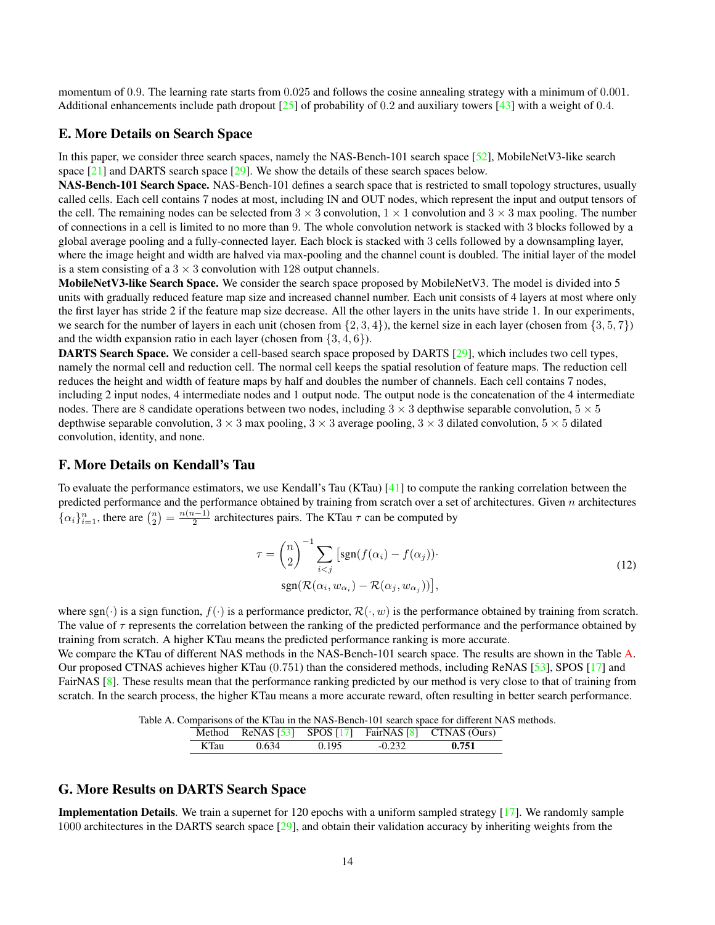<span id="page-13-0"></span>momentum of 0.9. The learning rate starts from 0.025 and follows the cosine annealing strategy with a minimum of 0.001. Additional enhancements include path dropout [\[25\]](#page-8-25) of probability of 0.2 and auxiliary towers [\[43\]](#page-9-1) with a weight of 0.4.

# <span id="page-13-1"></span>E. More Details on Search Space

In this paper, we consider three search spaces, namely the NAS-Bench-101 search space [\[52\]](#page-9-20), MobileNetV3-like search space [\[21\]](#page-8-20) and DARTS search space [\[29\]](#page-9-8). We show the details of these search spaces below.

NAS-Bench-101 Search Space. NAS-Bench-101 defines a search space that is restricted to small topology structures, usually called cells. Each cell contains 7 nodes at most, including IN and OUT nodes, which represent the input and output tensors of the cell. The remaining nodes can be selected from  $3 \times 3$  convolution,  $1 \times 1$  convolution and  $3 \times 3$  max pooling. The number of connections in a cell is limited to no more than 9. The whole convolution network is stacked with 3 blocks followed by a global average pooling and a fully-connected layer. Each block is stacked with 3 cells followed by a downsampling layer, where the image height and width are halved via max-pooling and the channel count is doubled. The initial layer of the model is a stem consisting of a  $3 \times 3$  convolution with 128 output channels.

MobileNetV3-like Search Space. We consider the search space proposed by MobileNetV3. The model is divided into 5 units with gradually reduced feature map size and increased channel number. Each unit consists of 4 layers at most where only the first layer has stride 2 if the feature map size decrease. All the other layers in the units have stride 1. In our experiments, we search for the number of layers in each unit (chosen from  $\{2, 3, 4\}$ ), the kernel size in each layer (chosen from  $\{3, 5, 7\}$ ) and the width expansion ratio in each layer (chosen from  $\{3, 4, 6\}$ ).

DARTS Search Space. We consider a cell-based search space proposed by DARTS [\[29\]](#page-9-8), which includes two cell types, namely the normal cell and reduction cell. The normal cell keeps the spatial resolution of feature maps. The reduction cell reduces the height and width of feature maps by half and doubles the number of channels. Each cell contains 7 nodes, including 2 input nodes, 4 intermediate nodes and 1 output node. The output node is the concatenation of the 4 intermediate nodes. There are 8 candidate operations between two nodes, including  $3 \times 3$  depthwise separable convolution,  $5 \times 5$ depthwise separable convolution,  $3 \times 3$  max pooling,  $3 \times 3$  average pooling,  $3 \times 3$  dilated convolution,  $5 \times 5$  dilated convolution, identity, and none.

## <span id="page-13-2"></span>F. More Details on Kendall's Tau

To evaluate the performance estimators, we use Kendall's Tau (KTau) [\[41\]](#page-9-21) to compute the ranking correlation between the predicted performance and the performance obtained by training from scratch over a set of architectures. Given  $n$  architectures { $\alpha_i$ } $_{i=1}^n$ , there are  $\binom{n}{2} = \frac{n(n-1)}{2}$  $\frac{2^{n-1}}{2}$  architectures pairs. The KTau  $\tau$  can be computed by

$$
\tau = {n \choose 2}^{-1} \sum_{i < j} \left[ \text{sgn}(f(\alpha_i) - f(\alpha_j)) \cdot \right]
$$
\n
$$
\text{sgn}(\mathcal{R}(\alpha_i, w_{\alpha_i}) - \mathcal{R}(\alpha_j, w_{\alpha_j})) \right],
$$
\n
$$
(12)
$$

where sgn(·) is a sign function,  $f(\cdot)$  is a performance predictor,  $\mathcal{R}(\cdot, w)$  is the performance obtained by training from scratch. The value of  $\tau$  represents the correlation between the ranking of the predicted performance and the performance obtained by training from scratch. A higher KTau means the predicted performance ranking is more accurate.

We compare the KTau of different NAS methods in the NAS-Bench-101 search space. The results are shown in the Table [A.](#page-13-4) Our proposed CTNAS achieves higher KTau (0.751) than the considered methods, including ReNAS [\[53\]](#page-9-17), SPOS [\[17\]](#page-8-15) and FairNAS [\[8\]](#page-8-7). These results mean that the performance ranking predicted by our method is very close to that of training from scratch. In the search process, the higher KTau means a more accurate reward, often resulting in better search performance.

Table A. Comparisons of the KTau in the NAS-Bench-101 search space for different NAS methods.

<span id="page-13-4"></span>

|         |       |       |        | Method ReNAS $\begin{bmatrix} 53 \\ 33 \end{bmatrix}$ SPOS $\begin{bmatrix} 17 \\ 1 \end{bmatrix}$ FairNAS $\begin{bmatrix} 8 \\ 1 \end{bmatrix}$ CTNAS (Ours) |
|---------|-------|-------|--------|----------------------------------------------------------------------------------------------------------------------------------------------------------------|
| $K$ Tau | 0.634 | 0.195 | -0.232 | 0.751                                                                                                                                                          |

# <span id="page-13-3"></span>G. More Results on DARTS Search Space

Implementation Details. We train a supernet for 120 epochs with a uniform sampled strategy [\[17\]](#page-8-15). We randomly sample 1000 architectures in the DARTS search space [\[29\]](#page-9-8), and obtain their validation accuracy by inheriting weights from the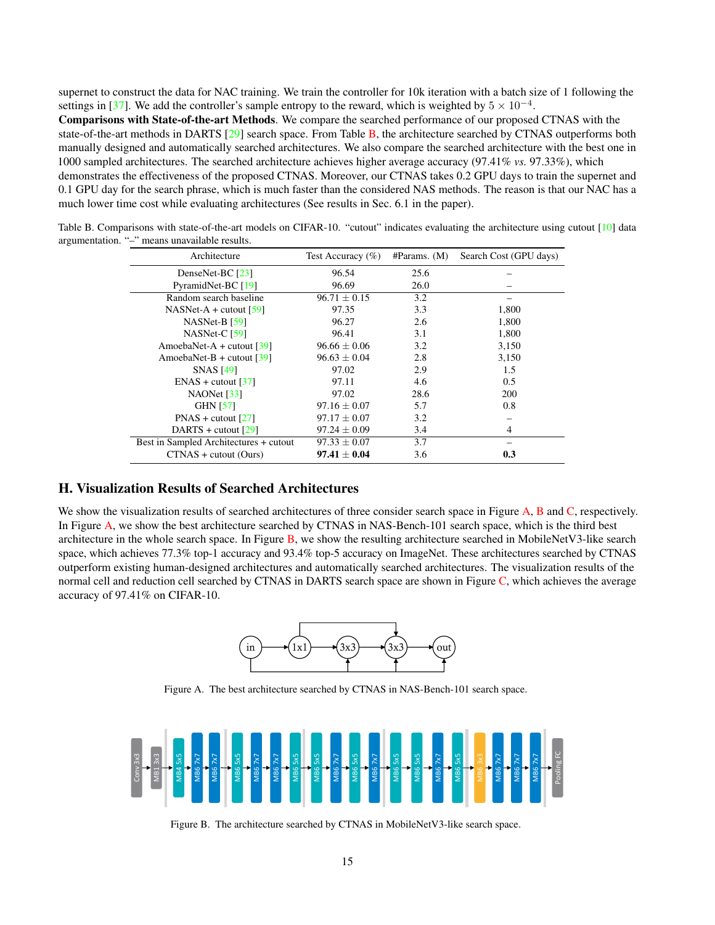<span id="page-14-0"></span>supernet to construct the data for NAC training. We train the controller for 10k iteration with a batch size of 1 following the settings in [\[37\]](#page-9-6). We add the controller's sample entropy to the reward, which is weighted by  $5 \times 10^{-4}$ .

Comparisons with State-of-the-art Methods. We compare the searched performance of our proposed CTNAS with the state-of-the-art methods in DARTS [\[29\]](#page-9-8) search space. From Table [B,](#page-14-2) the architecture searched by CTNAS outperforms both manually designed and automatically searched architectures. We also compare the searched architecture with the best one in 1000 sampled architectures. The searched architecture achieves higher average accuracy (97.41% *vs.* 97.33%), which demonstrates the effectiveness of the proposed CTNAS. Moreover, our CTNAS takes 0.2 GPU days to train the supernet and 0.1 GPU day for the search phrase, which is much faster than the considered NAS methods. The reason is that our NAC has a much lower time cost while evaluating architectures (See results in Sec. 6.1 in the paper).

<span id="page-14-2"></span>

| Architecture                            | Test Accuracy $(\%)$ | #params. (M) | Search Cost (GPU days) |
|-----------------------------------------|----------------------|--------------|------------------------|
| DenseNet-BC [23]                        | 96.54                | 25.6         |                        |
| PyramidNet-BC [19]                      | 96.69                | 26.0         |                        |
| Random search baseline                  | $96.71 \pm 0.15$     | 3.2          |                        |
| NASNet-A + cutout $[59]$                | 97.35                | 3.3          | 1.800                  |
| $NASNet-B$ [59]                         | 96.27                | 2.6          | 1,800                  |
| NASNet-C $[59]$                         | 96.41                | 3.1          | 1,800                  |
| AmoebaNet-A + cutout $\lceil 39 \rceil$ | $96.66 \pm 0.06$     | 3.2          | 3,150                  |
| AmoebaNet-B + cutout $\lceil 39 \rceil$ | $96.63 \pm 0.04$     | 2.8          | 3,150                  |
| <b>SNAS</b> [49]                        | 97.02                | 2.9          | 1.5                    |
| $ENAS + cutout [37]$                    | 97.11                | 4.6          | 0.5                    |
| NAONet [33]                             | 97.02                | 28.6         | 200                    |
| <b>GHN [57]</b>                         | $97.16 \pm 0.07$     | 5.7          | 0.8                    |
| $PNAS + cutout [27]$                    | $97.17 \pm 0.07$     | 3.2          |                        |

 $\frac{129}{\text{DARTS + cutout }[29]}$  $\frac{129}{\text{DARTS + cutout }[29]}$  $\frac{129}{\text{DARTS + cutout }[29]}$  97.24 ± 0.09 3.4 4<br>  $\frac{4}{\text{Bounded Architectures + cutout}}$  97.33 + 0.07 3.7

CTNAS + cutout (Ours) 97.41  $\pm$  0.04 3.6 0.3

Table B. Comparisons with state-of-the-art models on CIFAR-10. "cutout" indicates evaluating the architecture using cutout [\[10\]](#page-8-24) data argumentation. "–" means unavailable results.

# <span id="page-14-1"></span>H. Visualization Results of Searched Architectures

Best in Sampled Architectures + cutout  $97.33 \pm 0.07$ 

We show the visualization results of searched architectures of three consider search space in Figure [A,](#page-14-3) [B](#page-14-4) and [C,](#page-15-1) respectively. In Figure [A,](#page-14-3) we show the best architecture searched by CTNAS in NAS-Bench-101 search space, which is the third best architecture in the whole search space. In Figure  $\overline{B}$ , we show the resulting architecture searched in MobileNetV3-like search space, which achieves 77.3% top-1 accuracy and 93.4% top-5 accuracy on ImageNet. These architectures searched by CTNAS outperform existing human-designed architectures and automatically searched architectures. The visualization results of the normal cell and reduction cell searched by CTNAS in DARTS search space are shown in Figure [C,](#page-15-1) which achieves the average accuracy of 97.41% on CIFAR-10.



<span id="page-14-3"></span>Figure A. The best architecture searched by CTNAS in NAS-Bench-101 search space.



<span id="page-14-4"></span>Figure B. The architecture searched by CTNAS in MobileNetV3-like search space.